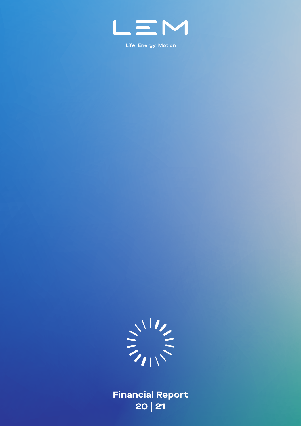

Life Energy Motion



**Financial Report 20 | 21**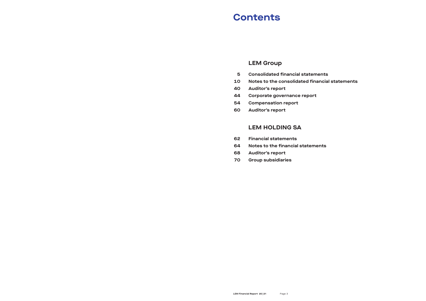## **LEM Group**

- **5 Consolidated financial statements**
- **10 Notes to the consolidated financial statements**
- **40 Auditor's report**
- **44 Corporate governance report**
- **54 Compensation report**
- **60 Auditor's report**

## **LEM HOLDING SA**

- **62 Financial statements**
- **64 Notes to the financial statements**
- **68 Auditor's report**
- **70 Group subsidiaries**

## **Contents**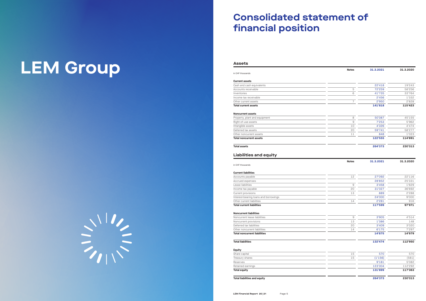# **LEM Group**

 $\frac{1}{2}$ 

## **Consolidated statement of financial position**

#### **Assets**

in CHF thousands

#### **Current assets**

| <b>Total current assets</b> |  |
|-----------------------------|--|
| Other current assets        |  |
| Income tax receivable       |  |
| nventories                  |  |
| Accounts receivable         |  |
| Cash and cash equivalents   |  |
|                             |  |

#### **Noncurrent assets**

| Property, plant and equipment  |  |
|--------------------------------|--|
| Right-of-use assets            |  |
| Intangible assets              |  |
| Deferred tax assets            |  |
| Other noncurrent assets        |  |
| <b>Total noncurrent assets</b> |  |

### **Liabilities and equity**

in CHF thousands

#### **Current liabilities**

| Accounts payable                      |  |
|---------------------------------------|--|
| Accrued expenses                      |  |
| Lease liabilities                     |  |
| Income tax payable                    |  |
| Current provisions                    |  |
| Interest-bearing loans and borrowings |  |
| Other current liabilities             |  |
|                                       |  |

## **Notes 31.3.2021 31.3.2020** Cash and cash equivalents 22'418 19'243 Accounts receivable 68'256 58'256 58'256 58'256 58'256 58'256 58'256 58'256 58'256 58'256 Inventories 6 41'735 33'764 Income tax receivable 2.332 Other current assets 7 2'950 2'828 **Total current assets 141'818 115'423** Property, plant and equipment **8** 50'387 45'155 Right-of-use assets 9 7'253 5'962 Intangible assets 10 4'326 4'474 Deferred tax assets 20 58'277 and 58'277 and 58'277 and 58'277 and 58'277 and 58'277 and 58'277 and 58'277 and 58'277 Other noncurrent assets 11 848 1023 **Total noncurrent assets 122'555 114'891 Total assets 264'373 230'313 Notes 31.3.2021 31.3.2020** Accounts payable 12 27'092 22'116 Accrued expenses 28'852 25'331 Lease liabilities 9 3'458 1'629 Income tax payable 20 31'027 36'692 Current provisions 13 889 2'288 Interest-bearing loans and borrowings 24'000 9'000 9'000 9'000 9'000 9'000 Other current liabilities 14 2'281 916 **Total current liabilities 117'599 97'971** Noncurrent lease liabilities and the set of the set of the set of the set of the set of the set of the set of the set of the set of the set of the set of the set of the set of the set of the set of the set of the set of th Noncurrent provisions and the set of the set of the set of the set of the set of the set of the set of the set of the set of the set of the set of the set of the set of the set of the set of the set of the set of the set o Deferred tax liabilities 20 3'409 3'020 Other noncurrent liabilities and the contract of the contract of the contract of the contract of the contract of the contract of the contract of the contract of the contract of the contract of the contract of the contract **Total noncurrent liabilities 14'875 14'979 Total liabilities 132'474 112'950** Share capital 15 570 570 Treasury shares  $(1'156)$  (581) Reserves 9'181 5'082 Retained earnings 123'304 112'292

#### **Noncurrent liabilities**

| <b>Total noncurrent liabilities</b> |  |
|-------------------------------------|--|
| Other noncurrent liabilities        |  |
| Deferred tax liabilities            |  |
| Noncurrent provisions               |  |
| Noncurrent lease liabilities        |  |

# **Equity**

**Total equity 131'899 117'363**

**Total liabilities and equity 264'373 230'313**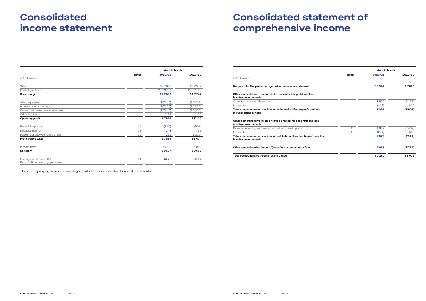## **Consolidated income statement**

|                                                                  |              | <b>April to March</b> |           |
|------------------------------------------------------------------|--------------|-----------------------|-----------|
|                                                                  | <b>Notes</b> | 2020/21               | 2019/20   |
| in CHF thousands                                                 |              |                       |           |
| Sales                                                            |              | 300'966               | 307'942   |
| Cost of goods sold                                               |              | (160'369)             | (165'195) |
| Gross margin                                                     |              | 140'597               | 142'747   |
| Sales expenses                                                   |              | (26'343)              | (28'232)  |
| Administration expenses                                          |              | (26'306)              | (28'270)  |
| Research & development expenses                                  |              | (28'248)              | (28'038)  |
| Other income                                                     |              | 1'196                 | 120       |
| <b>Operating profit</b>                                          |              | 60'896                | 58'327    |
| Financial expenses                                               | 17           | (510)                 | (505)     |
| Financial income                                                 | 18           | 148                   | 191       |
| Foreign currency exchange effect                                 | 19           | 351                   | (2'379)   |
| <b>Profit before taxes</b>                                       |              | 60'885                | 55'634    |
| Income taxes                                                     | 20           | (5'288)               | 5'059     |
| Net profit                                                       |              | 55'597                | 60'693    |
| Earnings per share, in CHF<br>Basic & diluted earnings per share | 21           | 48.79                 | 53.27     |

The accompanying notes are an integral part of the consolidated financial statements.

## **Consolidated statement of comprehensive income**

|                                                                                                                        |              | <b>April to March</b> |         |
|------------------------------------------------------------------------------------------------------------------------|--------------|-----------------------|---------|
| in CHF thousands                                                                                                       | <b>Notes</b> | 2020/21               | 2019/20 |
| Net profit for the period recognized in the income statement                                                           |              | 55'597                | 60'693  |
| Other comprehensive income to be reclassified to profit and loss<br>in subsequent periods                              |              |                       |         |
| Currency translation difference                                                                                        |              | 3'524                 | (6'132) |
| Income tax                                                                                                             |              | (433)                 | 525     |
| in subsequent periods<br>Other comprehensive income not to be reclassified to profit and loss<br>in subsequent periods |              |                       |         |
| Remeasurement gains/(losses) on defined benefit plans                                                                  | 23           | 1'849                 | (3'469) |
| Income tax                                                                                                             | 20           | (277)                 | 358     |
| Total other comprehensive income not to be reclassified to profit and loss<br>in subsequent periods                    |              | 1'572                 | (3'111) |
| Other comprehensive income/(loss) for the period, net of tax                                                           |              | 4'663                 | (8'719) |
| Total comprehensive income for the period                                                                              |              | 60'260                | 51'975  |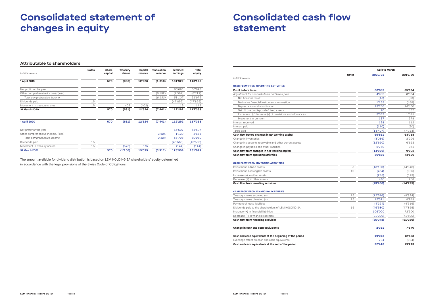## **Consolidated statement of changes in equity**

### **Attributable to shareholders**

| in CHF thousands                  | <b>Notes</b> | <b>Share</b><br>capital | <b>Treasury</b><br>shares | Capital<br>reserve | <b>Translation</b><br>reserve | <b>Retained</b><br>earnings | <b>Total</b><br>equity |
|-----------------------------------|--------------|-------------------------|---------------------------|--------------------|-------------------------------|-----------------------------|------------------------|
| 1 April 2019                      |              | 570                     | (983)                     | 12'926             | (1'310)                       | 101'922                     | 113'125                |
| Net profit for the year           |              |                         |                           |                    |                               | 60'693                      | 60'693                 |
| Other comprehensive income/(loss) |              |                         |                           |                    | (6'132)                       | (2'587)                     | (8'719)                |
| Total comprehensive income        |              |                         |                           |                    | (6'132)                       | 58'107                      | 51'975                 |
| Dividends paid                    | 15           |                         |                           |                    |                               | (47'855)                    | (47'855)               |
| Movement in treasury shares       | 15           |                         | 402                       | (402)              |                               | 119                         | 119                    |
| 31 March 2020                     |              | 570                     | (581)                     | 12'524             | (7'441)                       | 112'292                     | 117'363                |
| 1 April 2020                      |              | 570                     | (581)                     | 12'524             | (7'441)                       | 112'292                     | 117'363                |
| Net profit for the year           |              |                         |                           |                    |                               | 55'597                      | 55'597                 |
| Other comprehensive income/(loss) |              |                         |                           |                    | 3'524                         | 1'139                       | 4'663                  |
| Total comprehensive income        |              |                         |                           |                    | 3'524                         | 56'736                      | 60'260                 |
| Dividends paid                    | 15           |                         |                           |                    |                               | (45'580)                    | (45'580)               |
| Movement in treasury shares       | 15           |                         | (575)                     | 575                |                               | (144)                       | (144)                  |
| 31 March 2021                     |              | 570                     | (1'156)                   | 13'099             | (3'917)                       | 123'304                     | 131'899                |

The amount available for dividend distribution is based on LEM HOLDING SA shareholders' equity determined in accordance with the legal provisions of the Swiss Code of Obligations.

## **Consolidated cash flow statement**

#### in CHF thousands

| <b>CASH FLOW FROM OPERATING ACTIVITIES</b>               |
|----------------------------------------------------------|
| <b>Profit before taxes</b>                               |
| Adjustment for noncash items and taxes paid              |
| Net financial result                                     |
| Derivative financial instruments revaluation             |
| Depreciation and amortization                            |
| Gain / Loss on disposal of fixed assets                  |
| Increase (+) / decrease (-) of provisions and allowances |
| Movement in pension                                      |
| Interest received                                        |
| Interest paid                                            |
| Taxes paid                                               |
| Cash flow before changes in net working capital          |
| Change in inventories                                    |
| Change in accounts receivable and other current assets   |
| Change in payables and other liabilities                 |
| Cash flow from changes in net working capital            |
| Cash flow from operating activities                      |
|                                                          |
| <b>CASH FLOW FROM INVESTING ACTIVITIES</b>               |
|                                                          |

| Cash flow from investing activities |
|-------------------------------------|
| Decrease $(+)$ in other assets      |
| Increase $(-)$ in other assets      |
| Investment in intangible assets     |
| Investment in fixed assets          |

|                                                                                      |              | <b>April to March</b> |                 |
|--------------------------------------------------------------------------------------|--------------|-----------------------|-----------------|
| in CHF thousands                                                                     | <b>Notes</b> | 2020/21               | 2019/20         |
| <b>CASH FLOW FROM OPERATING ACTIVITIES</b>                                           |              |                       |                 |
| <b>Profit before taxes</b>                                                           |              | 60'885                | 55'634          |
| Adjustment for noncash items and taxes paid                                          |              | 4'962                 | 8'084           |
| Net financial result                                                                 |              | (18)                  | (23)            |
| Derivative financial instruments revaluation                                         |              | 1'133                 | (488)           |
| Depreciation and amortization                                                        |              | 13'746                | 14'460          |
| Gain / Loss on disposal of fixed assets                                              |              | 20                    | 432             |
| Increase (+) / decrease (-) of provisions and allowances                             |              | 3'347                 | 1'025           |
| Movement in pension                                                                  |              | 137                   | 378             |
| Interest received                                                                    |              | 128                   | 112             |
| Interest paid                                                                        |              | (110)                 | (90)            |
| Taxes paid                                                                           |              | (13'407)              | (7'723)         |
| Cash flow before changes in net working capital                                      |              | 65'861                | 63'718          |
| Change in inventories                                                                |              | (8'086)               | 2'296           |
| Change in accounts receivable and other current assets                               |              | (12'650)              | 6'652           |
| Change in payables and other liabilities                                             |              | 5'760                 | 955             |
|                                                                                      |              |                       |                 |
| Cash flow from changes in net working capital<br>Cash flow from operating activities |              | (14'976)<br>50'885    | 9'902<br>73'620 |
| <b>CASH FLOW FROM INVESTING ACTIVITIES</b><br>Investment in fixed assets             | 8            | (13'190)              | (14'346)        |
| Investment in intangible assets                                                      | 10           | (464)                 | (325)           |
| Increase (-) in other assets                                                         |              | (248)                 | (313)           |
| Decrease (+) in other assets                                                         |              | 446                   | 258             |
| Cash flow from investing activities                                                  |              | (13'456)              | (14'725)        |
| <b>CASH FLOW FROM FINANCING ACTIVITIES</b>                                           |              |                       |                 |
| Treasury shares acquired (-)                                                         | 15           | (12'516)              | (8'824)         |
| Treasury shares divested (+)                                                         | 15           | 12'371                | 8'943           |
| Payment of lease liabilities                                                         |              | (4'324)               | (4'519)         |
| Dividends paid to the shareholders of LEM HOLDING SA                                 | 15           | (45'580)              | (47'855)        |
| Increase (+) in financial liabilities                                                |              | 106'000               | 72'500          |
| Decrease (-) in financial liabilities                                                |              | (91'000)              | (71'500)        |
| Cash flow from financing activities                                                  |              | (35'048)              | (51'256)        |
| Change in cash and cash equivalents                                                  |              | 2'381                 | 7'640           |
| Cash and cash equivalents at the beginning of the period                             |              | 19'243                | 12'538          |
| Exchange effect on cash and cash equivalents                                         |              | 794                   | (934)           |
| Cash and cash equivalents at the end of the period                                   |              | 22'418                | 19'243          |

| Cash and cash equivalents at the beginning of the period |
|----------------------------------------------------------|
| Exchange effect on cash and cash equivalents             |
| Cash and cash equivalents at the end of the period       |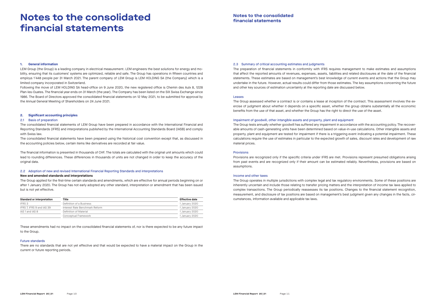## **Notes to the consolidated financial statements**

#### **1. General information**

LEM Group (the Group) is a leading company in electrical measurement. LEM engineers the best solutions for energy and mobility, ensuring that its customers' systems are optimized, reliable and safe. The Group has operations in fifteen countries and employs 1'448 people per 31 March 2021. The parent company of LEM Group is LEM HOLDING SA (the Company) which is a limited company incorporated in Switzerland.

Following the move of LEM HOLDING SA head-office on 9 June 2020, the new registered office is Chemin des Aulx 8, 1228 Plan-les-Ouates. The financial year ends on 31 March (the year). The Company has been listed on the SIX Swiss Exchange since 1986. The Board of Directors approved the consolidated financial statements on 12 May 2021, to be submitted for approval by the Annual General Meeting of Shareholders on 24 June 2021.

#### **2. Significant accounting principles**

#### 2.1 Basis of preparation

The consolidated financial statements of LEM Group have been prepared in accordance with the International Financial and Reporting Standards (IFRS) and interpretations published by the International Accounting Standards Board (IASB) and comply with Swiss law.

The consolidated financial statements have been prepared using the historical cost convention except that, as discussed in the accounting policies below, certain items like derivatives are recorded at fair value.

The financial information is presented in thousands of CHF. The totals are calculated with the original unit amounts which could lead to rounding differences. These differences in thousands of units are not changed in order to keep the accuracy of the original data.

### 2.2 Adoption of new and revised International Financial Reporting Standards and interpretations

#### **New and amended standards and interpretations**

The Group applied for the first-time certain standards and amendments, which are effective for annual periods beginning on or after 1 January 2020. The Group has not early adopted any other standard, interpretation or amendment that has been issued but is not yet effective.

| <b>Standard or interpretation</b> | Title                          | <b>Effective date</b> |
|-----------------------------------|--------------------------------|-----------------------|
| IFRS 3                            | Definition of a Business       | 1 January 2020        |
| IFRS 7. IFRS 9 and IAS 39         | Interest Rate Benchmark Reform | 1 January 2020        |
| IAS 1 and IAS 8                   | Definition of Material         | 1 January 2020        |
|                                   | Conceptual Framework           | 1 January 2020        |

These amendments had no impact on the consolidated financial statements of, nor is there expected to be any future impact to the Group.

#### Future standards

There are no standards that are not yet effective and that would be expected to have a material impact on the Group in the current or future reporting periods.

#### 2.3 Summary of critical accounting estimates and judgments

The preparation of financial statements in conformity with IFRS requires management to make estimates and assumptions that affect the reported amounts of revenues, expenses, assets, liabilities and related disclosures at the date of the financial statements. These estimates are based on management's best knowledge of current events and actions that the Group may undertake in the future. However, actual results could differ from those estimates. The key assumptions concerning the future and other key sources of estimation uncertainty at the reporting date are discussed below.

#### Leases

The Group assessed whether a contract is or contains a lease at inception of the contract. This assessment involves the exercise of judgment about whether it depends on a specific asset, whether the group obtains substantially all the economic benefits from the use of that asset, and whether the Group has the right to direct the use of the asset.

#### Impairment of goodwill, other intangible assets and property, plant and equipment

The Group tests annually whether goodwill has suffered any impairment in accordance with the accounting policy. The recoverable amounts of cash-generating units have been determined based on value-in-use calculations. Other intangible assets and property, plant and equipment are tested for impairment if there is a triggering event indicating a potential impairment. These calculations require the use of estimates in particular to the expected growth of sales, discount rates and development of raw material prices.

#### Provisions

Provisions are recognized only if the specific criteria under IFRS are met. Provisions represent presumed obligations arising from past events and are recognized only if their amount can be estimated reliably. Nevertheless, provisions are based on assumptions.

#### Income and other taxes

The Group operates in multiple jurisdictions with complex legal and tax regulatory environments. Some of these positions are inherently uncertain and include those relating to transfer pricing matters and the interpretation of income tax laws applied to complex transactions. The Group periodically reassesses its tax positions. Changes to the financial statement recognition, measurement, and disclosure of tax positions are based on management's best judgment given any changes in the facts, circumstances, information available and applicable tax laws.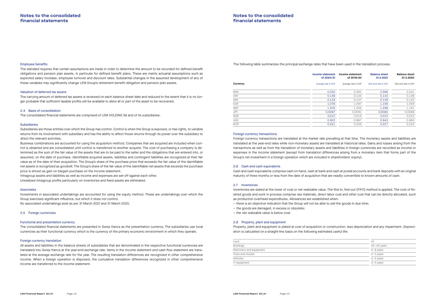#### Employee benefits

The standard requires that certain assumptions are made in order to determine the amount to be recorded for defined benefit obligations and pension plan assets, in particular for defined benefit plans. These are mainly actuarial assumptions such as expected salary increase, employee turnover and discount rates. Substantial changes in the assumed development of any of these variables may significantly change LEM Group's retirement benefit obligation and pension plan assets.

#### Valuation of deferred tax assets

The carrying amount of deferred tax assets is reviewed on each balance sheet date and reduced to the extent that it is no longer probable that sufficient taxable profits will be available to allow all or part of the asset to be recovered.

#### 2.4 Basis of consolidation

The consolidated financial statements are comprised of LEM HOLDING SA and of its subsidiaries.

#### Subsidiaries

Subsidiaries are those entities over which the Group has control. Control is when the Group is exposed, or has rights, to variable returns from its involvement with subsidiary and has the ability to affect those returns through its power over the subsidiary to direct the relevant activities.

Business combinations are accounted for using the acquisition method. Companies that are acquired are included when control is obtained and are consolidated until control is transferred to another acquirer. The cost of purchasing a company is determined as the sum of the fair value of the assets that are to be paid to the seller and the obligations that are entered into, or assumed, on the date of purchase. Identifiable acquired assets, liabilities and contingent liabilities are recognized at their fair value as of the date of their acquisition. The Group's share of the purchase price that exceeds the fair value of the identifiable net assets is recognized as goodwill. The Group's share of the fair value of the identifiable net assets that exceeds the purchase price is shown as gain on bargain purchase on the income statement.

Intragroup assets and liabilities as well as income and expenses are set-off against each other. Unrealized intragroup profits particularly on inventories and fixed assets are eliminated.

#### Associates

Investments in associated undertakings are accounted for using the equity method. These are undertakings over which the Group exercises significant influence, but which it does not control. No associated undertakings exist as per 31 March 2021 and 31 March 2020.

#### 2.5 Foreign currencies

#### Functional and presentation currency

The consolidated financial statements are presented in Swiss francs as the presentation currency. The subsidiaries use local currencies as their functional currency which is the currency of the primary economic environment in which they operate.

#### Foreign currency translation

| Land                    | nil             |
|-------------------------|-----------------|
| <b>Buildings</b>        | $20 - 40$ years |
| Machinery and equipment | 5-8 years       |
| Tools and moulds        | $2-5$ years     |
| Vehicles                | 3-5 years       |
| IT equipment            | 3-5 years       |
|                         |                 |

| nil             |
|-----------------|
| $20 - 40$ years |
| 5-8 years       |
| 2-5 years       |
| 3-5 years       |
| 3-5 years       |
|                 |

All assets and liabilities in the balance sheets of subsidiaries that are denominated in the respective functional currencies are translated into Swiss francs at the year-end exchange rate. Items in the income statement and cash flow statement are translated at the average exchange rate for the year. The resulting translation differences are recognized in other comprehensive income. When a foreign operation is disposed, the cumulative translation differences recognized in other comprehensive income are transferred to the income statement.

The following table summarizes the principal exchange rates that have been used in the translation process:

|                 | <b>Income statement</b><br>of 2020/21 | Income statement<br>of 2019/20 | <b>Balance sheet</b><br>31.3.2021 | <b>Balance sheet</b><br>31.3.2020 |
|-----------------|---------------------------------------|--------------------------------|-----------------------------------|-----------------------------------|
| <b>Currency</b> | Average rate in CHF                   | Average rate in CHF            | Year-end rate in CHF              | Year-end rate in CHF              |
| <b>BGN</b>      | 0.550                                 | 0.561                          | 0.566                             | 0.541                             |
| <b>CNY</b>      | 0.136                                 | 0.142                          | 0.144                             | 0.136                             |
| <b>DKK</b>      | 0.144                                 | 0.147                          | 0.149                             | 0.142                             |
| <b>EUR</b>      | 1.076                                 | 1.097                          | 1.106                             | 1.059                             |
| GBP             | 1.205                                 | 1.255                          | 1.298                             | 1.191                             |
| JPY             | 0.0087                                | 0.0091                         | 0.0085                            | 0.0089                            |
| <b>RUB</b>      | 0.012                                 | 0.015                          | 0.012                             | 0.012                             |
| <b>USD</b>      | 0.922                                 | 0.987                          | 0.943                             | 0.963                             |
| <b>MYR</b>      | 0.221                                 | 0.235                          | 0.227                             | 0.223                             |

#### Foreign currency transactions

Foreign currency transactions are translated at the market rate prevailing at that time. The monetary assets and liabilities are translated at the year-end rates while non-monetary assets are translated at historical rates. Gains and losses arising from the transactions as well as from the translation of monetary assets and liabilities in foreign currencies are recorded as income or expenses in the income statement (except from translation differences arising from a monetary item that forms part of the Group's net investment in a foreign operation which are included in shareholders' equity).

#### 2.6 Cash and cash equivalents

Cash and cash equivalents comprise cash on hand, cash at bank and cash at postal accounts and bank deposits with an original maturity of three months or less from the date of acquisition that are readily convertible to known amounts of cash.

#### 2.7 Inventories

Inventories are stated at the lower of cost or net realizable value. The first-in, first-out (FIFO) method is applied. The cost of finished goods and work in process comprise raw materials, direct labor cost and other cost that can be directly allocated, such as production overhead expenditures. Allowances are established when:

- there is an objective indication that the Group will not be able to sell the goods in due time;
- the goods are damaged, in excess or obsolete;
- the net realizable value is below cost.

#### 2.8 Property, plant and equipment

Property, plant and equipment is stated at cost of acquisition or construction, less depreciation and any impairment. Depreciation is calculated on a straight-line basis on the following estimated useful life: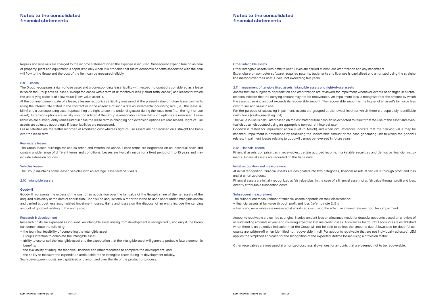Repairs and renewals are charged to the income statement when the expense is incurred. Subsequent expenditure on an item of property, plant and equipment is capitalized only when it is probable that future economic benefits associated with the item will flow to the Group and the cost of the item can be measured reliably.

#### 2.9 Leases

The Group recognizes a right-of-use asset and a corresponding lease liability with respect to contracts considered as a lease in which the Group acts as lessee, except for leases with a term of 12 months or less ("short-term leases") and leases for which the underlying asset is of a low value ("low-value asset").

At the commencement date of a lease, a lessee recognizes a liability measured at the present value of future lease payments using the interest rate stated in the contract or in the absence of such a rate an incremental borrowing rate (i.e., the lease liability) and a corresponding asset representing the right to use the underlying asset during the lease term (i.e., the right-of-use asset). Extension options are initially only considered if the Group is reasonably certain that such options are exercised. Lease liabilities are subsequently remeasured in case the lease term is changing or if extension options are reassessed. Right-of-use assets are adjusted accordingly if lease liabilities are reassessed.

Lease liabilities are thereafter recorded at amortized cost whereas right-of-use assets are depreciated on a straight-line basis over the lease term.

#### Real estate leases

The Group leases buildings for use as office and warehouse space. Lease terms are negotiated on an individual basis and contain a wide range of different terms and conditions. Leases are typically made for a fixed period of 1 to 15 years and may include extension options.

#### Vehicles leases

The Group maintains some leased vehicles with an average lease term of 3 years.

#### 2.10 Intangible assets

#### Goodwill

Goodwill represents the excess of the cost of an acquisition over the fair value of the Group's share of the net assets of the acquired subsidiary at the date of acquisition. Goodwill on acquisitions is reported in the balance sheet under intangible assets and carried at cost less accumulated impairment losses. Gains and losses on the disposal of an entity include the carrying amount of goodwill relating to the entity sold.

#### Research & development

Research costs are expensed as incurred. An intangible asset arising from development is recognized if, and only if, the Group can demonstrate the following:

- the technical feasibility of completing the intangible asset;
- Group's intention to complete the intangible asset;
- ability to use or sell the intangible asset and the expectation that the intangible asset will generate probable future economic benefits;
- the availability of adequate technical, financial and other resources to complete the development; and
- the ability to measure the expenditure attributable to the intangible asset during its development reliably.

Such development costs are capitalized and amortized over the life of the product or process.

#### Other intangible assets

Other intangible assets with definite useful lives are carried at cost less amortization and any impairment. Expenditure on computer software, acquired patents, trademarks and licenses is capitalized and amortized using the straightline method over their useful lives, not exceeding five years.

#### 2.11 Impairment of tangible fixed assets, intangible assets and right-of-use assets

Assets that are subject to depreciation and amortization are reviewed for impairment whenever events or changes in circumstances indicate that the carrying amount may not be recoverable. An impairment loss is recognized for the amount by which the asset's carrying amount exceeds its recoverable amount. The recoverable amount is the higher of an asset's fair value less cost to sell and value in use.

For the purpose of assessing impairment, assets are grouped at the lowest level for which there are separately identifiable cash-flows (cash-generating unit).

The value in use is calculated based on the estimated future cash-flows expected to result from the use of the asset and eventual disposal, discounted using an appropriate non-current interest rate. Goodwill is tested for impairment annually (at 31 March) and when circumstances indicate that the carrying value may be impaired. Impairment is determined by assessing the recoverable amount of the cash-generating unit to which the goodwill relates. Impairment losses relating to goodwill cannot be reversed in future years.

#### 2.12 Financial assets

Financial assets comprise cash, receivables, certain accrued income, marketable securities and derivative financial instruments. Financial assets are recorded on the trade date.

#### Initial recognition and measurement

At initial recognition, financial assets are designated into two categories, financial assets at fair value through profit and loss and at amortized cost.

Financial assets are initially recognized at fair value plus, in the case of a financial asset not at fair value through profit and loss, directly attributable transaction costs.

#### Subsequent measurement

The subsequent measurement of financial assets depends on their classification:

- financial assets at fair value through profit and loss (refer to note 2.13);
- loans and receivables are measured at amortized cost using the effective interest rate method, less impairment.

Accounts receivable are carried at original invoice amount less an allowance made for doubtful accounts based on a review of all outstanding amounts at year-end covering expected lifetime credit losses. Allowances for doubtful accounts are established when there is an objective indication that the Group will not be able to collect the amounts due. Allowances for doubtful accounts are written-off when identified not recoverable in full. For accounts receivable that are not individually adjusted, LEM applies the simplified approach for the recognition of the expected lifetime losses using a provision matrix.

Other receivables are measured at amortized cost less allowances for amounts that are deemed not to be recoverable.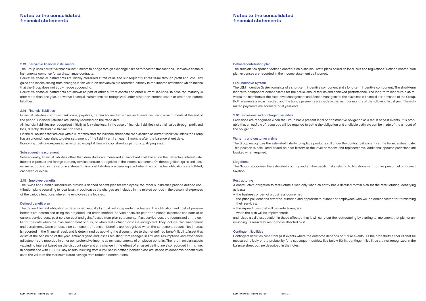#### 2.13 Derivative financial instruments

The Group uses derivative financial instruments to hedge foreign exchange risks of forecasted transactions. Derivative financial instruments comprise forward exchange contracts.

Derivative financial instruments are initially measured at fair value and subsequently at fair value through profit and loss. Any gains and losses arising from changes in fair value on derivatives are recorded directly in the income statement which means that the Group does not apply hedge accounting.

Derivative financial instruments are shown as part of other current assets and other current liabilities. In case the maturity is after more than one year, derivative financial instruments are recognized under other non-current assets or other non-current liabilities.

#### 2.14 Financial liabilities

Financial liabilities comprise bank loans, payables, certain accrued expenses and derivative financial instruments at the end of the period. Financial liabilities are initially recorded on the trade date.

All financial liabilities are recognized initially at fair value less, in the case of financial liabilities not at fair value through profit and loss, directly attributable transaction costs.

Financial liabilities that are due within 12 months after the balance sheet date are classified as current liabilities unless the Group has an unconditional right to defer settlement of the liability until at least 12 months after the balance sheet date. Borrowing costs are expensed as incurred except if they are capitalized as part of a qualifying asset.

#### Subsequent measurement

Subsequently, financial liabilities other than derivatives are measured at amortized cost based on their effective interest rate. Interest expenses and foreign currency revaluations are recognized in the income statement. On derecognition, gains and losses are recognized in the income statement. Financial liabilities are derecognized when the contractual obligations are fulfilled, cancelled or expire.

#### 2.15 Employee benefits

The Swiss and German subsidiaries provide a defined benefit plan for employees; the other subsidiaries provide defined contribution plans according to local laws. In both cases the charges are included in the related periods in the personnel expenses of the various functions where the employees are located.

#### Defined benefit plan

The defined benefit obligation is determined annually by qualified independent actuaries. The obligation and cost of pension benefits are determined using the projected unit credit method. Service costs are part of personnel expenses and consist of current service cost, past service cost and gains/losses from plan settlements. Past service cost are recognized at the earlier of the date when the plan amendment occurs, or when restructuring cost are recognized. They include plan amendment and curtailment. Gains or losses on settlement of pension benefits are recognized when the settlement occurs. Net interest is recorded in the financial result and is determined by applying the discount rate to the net defined benefit liability/asset that exists at the beginning of the year. Actuarial gains and losses resulting from changes in actuarial assumptions and experience adjustments are recorded in other comprehensive income as remeasurements of employee benefits. The return on plan assets (excluding interest based on the discount rate) and any change in the effect of an asset ceiling are also recorded in this line. In accordance with IFRIC 14, any assets resulting from surpluses in defined benefit plans are limited its economic benefit such as to the value of the maximum future savings from reduced contributions.

#### Defined contribution plan

The subsidiaries sponsor defined contribution plans incl. state plans based on local laws and regulations. Defined contribution plan expenses are recorded in the income statement as incurred.

#### LEM Incentive System

The LEM Incentive System consists of a short-term incentive component and a long-term incentive component. The short-term incentive component compensates for the actual annual results and achieved performance. The long-term incentive plan rewards the members of the Executive Management and Senior Managers for the sustainable financial performance of the Group. Both elements are cash settled and the bonus payments are made in the first four months of the following fiscal year. The estimated payments are accrued for at year-end.

#### 2.16 Provisions and contingent liabilities

Provisions are recognized when the Group has a present legal or constructive obligation as a result of past events, it is probable that an outflow of resources will be required to settle the obligation and a reliable estimate can be made of the amount of the obligation.

#### Warranty and customer claims

The Group recognizes the estimated liability to replace products still under the contractual warranty at the balance sheet date. This position is calculated based on past history of the level of repairs and replacements. Additional specific provisions are booked when required.

#### **Litigations**

The Group recognizes the estimated country and entity-specific risks relating to litigations with former personnel or indirect taxation.

#### **Restructuring**

A constructive obligation to restructure arises only when an entity has a detailed formal plan for the restructuring identifying at least:

– the principal locations affected, function and approximate number of employees who will be compensated for terminating

- the business or part of a business concerned;
- their services;
- the expenditures that will be undertaken; and
- when the plan will be implemented;

and raised a valid expectation in those affected that it will carry out the restructuring by starting to implement that plan or announcing its main features to those affected by it.

#### Contingent liabilities

Contingent liabilities arise from past events where the outcome depends on future events. As the probability either cannot be measured reliably or the probability for a subsequent outflow lies below 50 %, contingent liabilities are not recognized in the balance sheet but are described in the notes.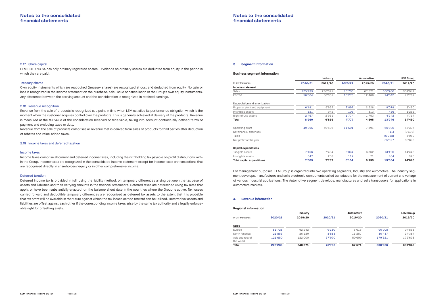#### 2.17 Share capital

LEM HOLDING SA has only ordinary registered shares. Dividends on ordinary shares are deducted from equity in the period in which they are paid.

#### Treasury shares

Own equity instruments which are reacquired (treasury shares) are recognized at cost and deducted from equity. No gain or loss is recognized in the income statement on the purchase, sale, issue or cancellation of the Group's own equity instruments. Any difference between the carrying amount and the consideration is recognized in retained earnings.

#### 2.18 Revenue recognition

Revenue from the sale of products is recognized at a point in time when LEM satisfies its performance obligation which is the moment when the customer acquires control over the products. This is generally achieved at delivery of the products. Revenue is measured at the fair value of the consideration received or receivable, taking into account contractually defined terms of payment and excluding taxes or duty.

Revenue from the sale of products comprises all revenue that is derived from sales of products to third parties after deduction of rebates and value-added taxes.

#### 2.19 Income taxes and deferred taxation

#### Income taxes

Income taxes comprise all current and deferred income taxes, including the withholding tax payable on profit distributions within the Group. Income taxes are recognized in the consolidated income statement except for income taxes on transactions that are recognized directly in shareholders' equity or in other comprehensive income.

#### Deferred taxation

Deferred income tax is provided in full, using the liability method, on temporary differences arising between the tax base of assets and liabilities and their carrying amounts in the financial statements. Deferred taxes are determined using tax rates that apply, or have been substantially enacted, on the balance sheet date in the countries where the Group is active. Tax losses carried forward and deductible temporary differences are recognized as deferred tax assets to the extent that it is probable that tax profit will be available in the future against which the tax losses carried forward can be utilized. Deferred tax assets and liabilities are offset against each other if the corresponding income taxes arise by the same tax authority and a legally enforceable right for offsetting exists.

#### **3. Segment Information**

#### **Business segment information**

|                               |         | <b>Industry</b> |         | <b>Automotive</b> | <b>LEM Group</b> |         |  |
|-------------------------------|---------|-----------------|---------|-------------------|------------------|---------|--|
| CHF thousands                 | 2020/21 | 2019/20         | 2020/21 | 2019/20           | 2020/21          | 2019/20 |  |
| ncome statement               |         |                 |         |                   |                  |         |  |
| ales                          | 225'233 | 240'371         | 75'733  | 67'571            | 300'966          | 307'942 |  |
| <b>BITDA</b>                  | 58'364  | 60'301          | 16'278  | 12'486            | 74'642           | 72'787  |  |
| epreciation and amortization: |         |                 |         |                   |                  |         |  |
| roperty, plant and equipment  | 6'181   | 5'962           | 2'897   | 2'528             | 9'078            | 8'490   |  |
| ntangible assets              | 321     | 942             | 105     | 313               | 426              | 1'256   |  |
| ight-of-use assets            | 2'467   | 2'961           | 1'774   | 1'753             | 4'242            | 4'714   |  |
| otal                          | 8'969   | 9'865           | 4'777   | 4'595             | 13'746           | 14'460  |  |
| perating profit               | 49'395  | 50'436          | 11'501  | 7'891             | 60'896           | 58'327  |  |
| let financial expenses        |         |                 |         |                   | (11)             | (2'693) |  |
| axes                          |         |                 |         |                   | (5'288)          | 5'059   |  |
| let profit for the year       |         |                 |         |                   | 55'597           | 60'693  |  |
| apital expenditures:          |         |                 |         |                   |                  |         |  |
| angible assets                | 7'156   | 7'484           | 6'034   | 6'862             | 13'190           | 14'346  |  |
| ntangible assets              | 347     | 253             | 117     | 71                | 464              | 325     |  |
| otal capital expenditures     | 7'503   | 7'737           | 6'151   | 6'933             | 13'654           | 14'670  |  |

|                                   |         | <b>Industry</b> |         | <b>Automotive</b> | <b>LEM Group</b> |         |
|-----------------------------------|---------|-----------------|---------|-------------------|------------------|---------|
| In CHF thousands                  | 2020/21 | 2019/20         | 2020/21 | 2019/20           | 2020/21          | 2019/20 |
| Income statement                  |         |                 |         |                   |                  |         |
| Sales                             | 225'233 | 240'371         | 75'733  | 67'571            | 300'966          | 307'942 |
| <b>EBITDA</b>                     | 58'364  | 60'301          | 16'278  | 12'486            | 74'642           | 72'787  |
| Depreciation and amortization:    |         |                 |         |                   |                  |         |
| Property, plant and equipment     | 6'181   | 5'962           | 2'897   | 2'528             | 9'078            | 8'490   |
| Intangible assets                 | 321     | 942             | 105     | 313               | 426              | 1'256   |
| Right-of-use assets               | 2'467   | 2'961           | 1'774   | 1'753             | 4'242            | 4'714   |
| <b>Total</b>                      | 8'969   | 9'865           | 4'777   | 4'595             | 13'746           | 14'460  |
| Operating profit                  | 49'395  | 50'436          | 11'501  | 7'891             | 60'896           | 58'327  |
| Net financial expenses            |         |                 |         |                   | (11)             | (2'693) |
| Taxes                             |         |                 |         |                   | (5'288)          | 5'059   |
| Net profit for the year           |         |                 |         |                   | 55'597           | 60'693  |
| <b>Capital expenditures</b>       |         |                 |         |                   |                  |         |
| Tangible assets                   | 7'156   | 7'484           | 6'034   | 6'862             | 13'190           | 14'346  |
| Intangible assets                 | 347     | 253             | 117     | 71                | 464              | 325     |
| <b>Total capital expenditures</b> | 7'503   | 7'737           | 6'151   | 6'933             | 13'654           | 14'670  |

For management purposes, LEM Group is organized into two operating segments, Industry and Automotive. The Industry segment develops, manufactures and sells electronic components called transducers for the measurement of current and voltage of various industrial applications. The Automotive segment develops, manufactures and sells transducers for applications in automotive markets.

#### **4. Revenue information**

#### **Regional information**

|                               |         | <b>Industry</b> |         | <b>Automotive</b> |         | <b>LEM Group</b> |
|-------------------------------|---------|-----------------|---------|-------------------|---------|------------------|
| In CHF thousands              | 2020/21 | 2019/20         | 2020/21 | 2019/20           | 2020/21 | 2019/20          |
| <b>Sales</b>                  |         |                 |         |                   |         |                  |
| Europe                        | 81'728  | 92'242          | 9'180   | 5'615             | 90'908  | 97'858           |
| North America                 | 21'855  | 26'129          | 8'583   | 11'257            | 30'437  | 37'387           |
| Asia and rest of<br>the world | 121'650 | 122'000         | 57'970  | 50'699            | 179'621 | 172'698          |
| <b>Total</b>                  | 225'233 | 240'371         | 75'733  | 67'571            | 300'966 | 307'942          |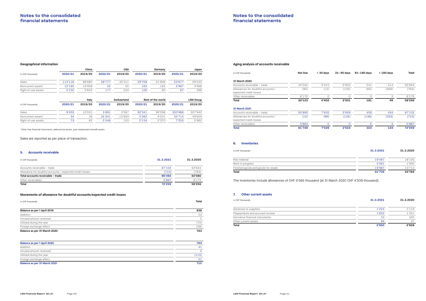#### **Geographical information**

|                                |         | China   |         | <b>USA</b> |         | Germany |         | Japan   |
|--------------------------------|---------|---------|---------|------------|---------|---------|---------|---------|
| In CHF thousands               | 2020/21 | 2019/20 | 2020/21 | 2019/20    | 2020/21 | 2019/20 | 2020/21 | 2019/20 |
| Sales                          | 113'116 | 98'680  | 28'777  | 35'311     | 29'708  | 31'606  | 23'677  | 29'430  |
| Noncurrent assets <sup>1</sup> | 12'195  | 19'958  | 52      | 55         | 163     | 183     | 3'967   | 3'966   |
| Right-of-use assets            | 2'150   | 2'642   | 177     | 234        | 105     | 80      | 67      | 398     |

|                                |         | Italv   |         | <b>Switzerland</b> |         | <b>Rest of the world</b> |         | <b>LEM Group</b> |
|--------------------------------|---------|---------|---------|--------------------|---------|--------------------------|---------|------------------|
| In CHF thousands               | 2020/21 | 2019/20 | 2020/21 | 2019/20            | 2020/21 | 2019/20                  | 2020/21 | 2019/20          |
| Sales                          | 9'455   | 10'031  | 3891    | 3'587              | 92'341  | 99'298                   | 300'966 | 307'942          |
| Noncurrent assets <sup>1</sup> | 34      | 36      | 32941   | 15'929             | 5'362   | 9'501                    | 54'714  | 49'629           |
| Right-of-use assets            | 73      | 85      | 2 5 4 6 | 153                | 2'134   | 2'370                    | 7'253   | 5'962            |

<sup>1</sup> Other than financial instruments, deferred tax assets, post employment benefit assets

Sales are reported as per place of transaction.

#### **5. Accounts receivable**

| in CHF thousands                                         | 31.3.2021 | 31.3.2020 |
|----------------------------------------------------------|-----------|-----------|
| Accounts receivable - trade                              | 67'102    | 52'844    |
| Allowance for doubtful accounts / expected credit losses | (710)     | (763)     |
| Total accounts receivable - trade                        | 66'392    | 52'080    |
| Other receivables                                        | 5'867     | 6'175     |
| <b>Total</b>                                             | 72'259    | 58'256    |

### **Movements of allowance for doubtful accounts/expected credit losses**

| in CHF thousands             | Total |
|------------------------------|-------|
| Balance as per 1 April 2019  | 838   |
| Addition                     | 23    |
| Unused amount reversed       |       |
| Utilized during the year     | (70)  |
| Foreign exchange effect      | (28)  |
| Balance as per 31 March 2020 | 763   |

| <b>Balance as per 1 April 2020</b> | 763   |
|------------------------------------|-------|
| Addition                           | 41    |
| Unused amount reversed             | Ω     |
| Utilized during the year           | (115) |
| Foreign exchange effect            | 21    |
| Balance as per 31 March 2021       | 710   |

### **Notes to the consolidated financial statements**

#### **Aging analysis of accounts receivable**

| In CHF thousands                                             | <b>Not Due</b> | < 30 days | 31-90 days | 91-180 days | $>180$ days | Total  |
|--------------------------------------------------------------|----------------|-----------|------------|-------------|-------------|--------|
| 31 March 2020                                                |                |           |            |             |             |        |
| Accounts receivable - trade                                  | 44'040         | 5'415     | 2'633      | 241         | 514         | 52'844 |
| Allowances for doubtful accounts /<br>expected credit losses | (90)           | (13)      | (132)      | (60)        | (469)       | (763)  |
| Other receivables                                            | 6'172          | $\circ$   | $\circ$    | $\Omega$    | 3           | 6'175  |
| Total                                                        | 50'123         | 5'402     | 2'501      | 181         | 49          | 58'256 |
| 31 March 2021                                                |                |           |            |             |             |        |
| Accounts receivable - trade                                  | 55'895         | 7'635     | 2'659      | 459         | 454         | 67'102 |
| Allowances for doubtful accounts /<br>expected credit losses | (10)           | (96)      | (135)      | (136)       | (333)       | (710)  |
| Other receivables                                            | 5'864          | $\Omega$  | $\circ$    | $\Omega$    | 3           | 5'867  |
| <b>Total</b>                                                 | 61'749         | 7'539     | 2'524      | 323         | 124         | 72'259 |

#### **6. Inventories**

in CHF thousands **31.3.2021 31.3.2020**

| <b>Total</b>                        | 41'735 | 33'764 |
|-------------------------------------|--------|--------|
| Finished goods and goods for resale | 19'987 | 13'714 |
| Work in progress                    | 2'261  | 1'950  |
| Raw material                        | 19'487 | 18'100 |

The inventories include allowances of CHF 5'565 thousand (at 31 March 2020 CHF 4'309 thousand).

#### **7. Other current assets**

in CHF thousands **31.3.2021 31.3.2020**

| <b>Total</b>                     | 2'950 | 2'828 |
|----------------------------------|-------|-------|
| Other current assets             | 94    |       |
| Derivative financial instruments |       | 320   |
| Prepayments and accrued income   | 1'622 | 1'351 |
| Advances to suppliers            | 1'224 | 1'119 |
|                                  |       |       |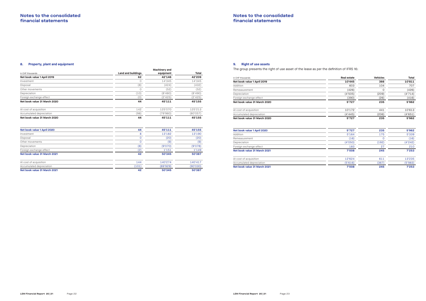### **8. Property, plant and equipment**

| in CHF thousands             | <b>Land and buildings</b> | Machinery and<br>equipment | Total    |
|------------------------------|---------------------------|----------------------------|----------|
| Net book value 1 April 2019  | 62                        | 42'146                     | 42'209   |
| Investment                   | $\Omega$                  | 14'345                     | 14'345   |
|                              |                           |                            |          |
| Disposal                     | (8)                       | (424)                      | (432)    |
| Other movements              | 0                         | (52)                       | (52)     |
| Depreciation                 | (10)                      | (8'480)                    | (8'490)  |
| Foreign exchange effect      | (0)                       | (2'425)                    | (2'425)  |
| Net book value 31 March 2020 | 44                        | 45'111                     | 45'155   |
| At cost of acquisition       | 142                       | 125'070                    | 125'213  |
| Accumulated depreciation     | (98)                      | (79'960)                   | (80'057) |
| Net book value 31 March 2020 | 44                        | 45'111                     | 45'155   |
| Net book value 1 April 2020  | 44                        | 45'111                     | 45'155   |
| Investment                   | 8                         | 13'182                     | 13'190   |
| Disposal                     | 0                         | (20)                       | (20)     |
| Other movements              | $\overline{O}$            | (9)                        | (9)      |
| Depreciation                 | (8)                       | (9'070)                    | (9'078)  |
| Foreign exchange effect      | (2)                       | 1'151                      | 1'149    |
| Net book value 31 March 2021 | 42                        | 50'345                     | 50'387   |
| At cost of acquisition       | 144                       | 140'274                    | 140'417  |
| Accumulated depreciation     | (101)                     | (89'929)                   | (90'030) |
| Net book value 31 March 2021 | 42                        | 50'345                     | 50'387   |

### **9. Right of use assets**

The group presents the right of use asset of the lease as per the definition of IFRS 16:

| in CHF thousands             | <b>Real estate</b> | <b>Vehicles</b> | <b>Total</b> |
|------------------------------|--------------------|-----------------|--------------|
| Net book value 1 April 2019  | 10'445             | 366             | 10'811       |
| Addition                     | 603                | 104             | 707          |
| Remeasurement                | (426)              | $\Omega$        | (426)        |
| Depreciation                 | (4'505)            | (209)           | (4'714)      |
| Foreign exchange effect      | (390)              | (26)            | (416)        |
| Net book value 31 March 2020 | 5'727              | 235             | 5'962        |
| At cost of acquisition       | 10'172             | 441             | 10'613       |
| Accumulated depreciation     | (4'445)            | (206)           | (4'651)      |
|                              |                    |                 |              |
| Net book value 1 April 2020  | 5'727              | 235             | 5'962        |
| Addition                     | 5'164              | 175             | 5'339        |
| Remeasurement                | (16)               | $\Omega$        | (16)         |
| Depreciation                 | (4'050)            | (192)           | (4'242)      |
| Foreign exchange effect      | 183                | 27              | 210          |
| Net book value 31 March 2021 | 7'008              | 245             | 7'253        |
| At cost of acquisition       | 12'624             | 611             | 13'235       |
| Accumulated depreciation     | (5'616)            | (367)           | (5'983)      |
| Net book value 31 March 2021 | 7'008              | 245             | 7'253        |

| in CHF thousands             | <b>Real estate</b> | <b>Vehicles</b> | Total   |
|------------------------------|--------------------|-----------------|---------|
| Net book value 1 April 2019  | 10'445             | 366             | 10'811  |
| Addition                     | 603                | 104             | 707     |
| Remeasurement                | (426)              | $\circ$         | (426)   |
| Depreciation                 | (4'505)            | (209)           | (4'714) |
| Foreign exchange effect      | (390)              | (26)            | (416)   |
| Net book value 31 March 2020 | 5'727              | 235             | 5'962   |
| At cost of acquisition       | 10'172             | 441             | 10'613  |
| Accumulated depreciation     | (4'445)            | (206)           | (4'651) |
| Net book value 31 March 2020 | 5'727              | 235             | 5'962   |
| Net book value 1 April 2020  | 5'727              | 235             | 5'962   |
| Addition                     | 5'164              | 175             | 5'339   |
| Remeasurement                | (16)               | $\Omega$        | (16)    |
| Depreciation                 | (4'050)            | (192)           | (4'242) |
| Foreign exchange effect      | 183                | 27              | 210     |
| Net book value 31 March 2021 | 7'008              | 245             | 7'253   |
| At cost of acquisition       | 12'624             | 611             | 13'235  |
| Accumulated depreciation     | (5'616)            | (367)           | (5'983) |
| Net book value 31 March 2021 | 7'008              | 245             | 7'253   |

| Net book value 31 March 2021 |  |
|------------------------------|--|
| Accumulated depreciation     |  |
| At cost of acquisition       |  |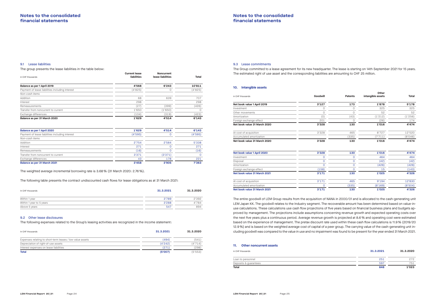#### 9.1 Lease liabilities

The group presents the lease liabilities in the table below:

| in CHF thousands                                | <b>Current lease</b><br>liabilities | <b>Noncurrent</b><br>lease liabilities | <b>Total</b> |
|-------------------------------------------------|-------------------------------------|----------------------------------------|--------------|
| Balance as per 1 April 2019                     | 4'568                               | 6'243                                  | 10'811       |
| Payment of lease liabilities including interest | (4'825)                             | 0                                      | (4'825)      |
| Non-cash items                                  |                                     |                                        |              |
| Addition                                        | 68                                  | 639                                    | 707          |
| Interest                                        | 298                                 |                                        | 298          |
| Remeasurements                                  | (27)                                | (399)                                  | (426)        |
| Transfer from noncurrent to current             | 1'650                               | (1'650)                                | $\circ$      |
| Exchange differences                            | (104)                               | (319)                                  | (423)        |
| Balance as per 31 March 2020                    | 1'629                               | 4'514                                  | 6'143        |

| <b>Balance as per 1 April 2020</b>              | 1'629   | 4'514   | 6'143   |
|-------------------------------------------------|---------|---------|---------|
| Payment of lease liabilities including interest | (4'595) |         | (4'595) |
| Non-cash items                                  |         |         |         |
| Addition                                        | 2'754   | 2'584   | 5'338   |
| Interest                                        | 271     |         | 271     |
| Remeasurements                                  | (16)    |         | (16)    |
| Transfer from noncurrent to current             | 3'371   | (3'371) |         |
| Exchange differences                            | 43      | 178     | 221     |
| Balance as per 31 March 2021                    | 3'458   | 3'905   | 7'363   |

The weighted average incremental borrowing rate is 3.68 % (31 March 2020: 2.76 %).

The following table presents the contract undiscounted cash flows for lease obligations as at 31 March 2021:

| In CHF thousands         | 31.3.2021 | 31.3.2020 |
|--------------------------|-----------|-----------|
| Within 1 year            | 3'789     | 2'392     |
| Within 1 year to 5 years | 3'288     | 4'784     |
| Above 5 years            | 547       | 894       |

#### 9.2 Other lease disclosures

The following expenses related to the Group's leasing activities are recognized in the income statement:

| In CHF thousands                                          | 31.3.2021 | 31.3.2020 |
|-----------------------------------------------------------|-----------|-----------|
| Expenses relating to short-term leases / low value assets | (494)     | (541)     |
| Depreciation of right-of-use assets                       | (4'242)   | (4'714)   |
| Interest expenses on lease liabilities                    | (271)     | (298)     |
| <b>Total</b>                                              | (5'007)   | (5'553)   |

#### 9.3 Lease commitments

The Group committed to a lease agreement for its new headquarter. The lease is starting on 14th September 2021 for 15 years. The estimated right of use asset and the corresponding liabilities are amounting to CHF 25 million.

#### **10. Intangible assets**

| n CHF thousands                 | Goodwill | <b>Patents</b> | Other<br>intangible assets | Total   |
|---------------------------------|----------|----------------|----------------------------|---------|
| Net book value 1 April 2019     | 3'127    | 173            | 1'878                      | 5'178   |
| nvestment                       | $\circ$  | $\circ$        | 325                        | 325     |
| Other movements                 | $\circ$  | $\circ$        | 52                         | 52      |
| <b>Amortization</b>             | (0)      | (43)           | (1'212)                    | (1'256) |
| Foreign exchange effect         | 201      | 0              | (26)                       | 174     |
| Net book value 31 March 2020    | 3'328    | 130            | 1'016                      | 4'474   |
| At cost of acquisition          | 3'328    | 465            | 8'727                      | 12'520  |
| <b>Accumulated amortization</b> |          | (335)          | (7'711)                    | (8'046) |
| Net book value 31 March 2020    | 3'328    | 130            | 1'016                      | 4'474   |
| Net book value 1 April 2020     | 3'328    | 130            | 1'016                      | 4'474   |
| nvestment                       | O        | 0              | 464                        | 464     |
| Disposal                        | $\Omega$ | O              | (42)                       | (42)    |
| <b>Amortization</b>             | $\Omega$ | O              | (426)                      | (426)   |
| Foreign exchange effect         | (158)    | 0              | 15                         | (143)   |
| Net book value 31 March 2021    | 3'171    | 130            | 1'025                      | 4'326   |
| At cost of acquisition          | 3'171    | 465            | 9'194                      | 12'830  |
| <b>Accumulated amortization</b> | ∩        | (335)          | (8'169)                    | (8'504) |
| Net book value 31 March 2021    | 3'171    | 130            | 1'025                      | 4'326   |

|                              |          |                | Other             |              |
|------------------------------|----------|----------------|-------------------|--------------|
| in CHF thousands             | Goodwill | <b>Patents</b> | intangible assets | <b>Total</b> |
| Net book value 1 April 2019  | 3'127    | 173            | 1'878             | 5'178        |
| Investment                   | 0        | 0              | 325               | 325          |
| Other movements              | Ω        | $\circ$        | 52                | 52           |
| Amortization                 | (0)      | (43)           | (1'212)           | (1'256)      |
| Foreign exchange effect      | 201      | $\circ$        | (26)              | 174          |
| Net book value 31 March 2020 | 3'328    | 130            | 1'016             | 4'474        |
| At cost of acquisition       | 3'328    | 465            | 8'727             | 12'520       |
| Accumulated amortization     |          | (335)          | (7'711)           | (8'046)      |
| Net book value 31 March 2020 | 3'328    | 130            | 1'016             | 4'474        |
| Net book value 1 April 2020  | 3'328    | 130            | 1'016             | 4'474        |
| Investment                   | 0        | O              | 464               | 464          |
| Disposal                     | $\circ$  | $\circ$        | (42)              | (42)         |
| Amortization                 | $\Omega$ | $\circ$        | (426)             | (426)        |
| Foreign exchange effect      | (158)    | $\Omega$       | 15                | (143)        |
| Net book value 31 March 2021 | 3'171    | 130            | 1'025             | 4'326        |
| At cost of acquisition       | 3'171    | 465            | 9'194             | 12'830       |
| Accumulated amortization     | O        | (335)          | (8'169)           | (8'504)      |
| Net book value 31 March 2021 | 3'171    | 130            | 1'025             | 4'326        |

The entire goodwill of LEM Group results from the acquisition of NANA in 2000/01 and is allocated to the cash-generating unit LEM Japan KK. The goodwill relates to the Industry segment. The recoverable amount has been determined based on value-inuse calculations. These calculations use cash flow projections of five years based on financial business plans and budgets approved by management. The projections include assumptions concerning revenue growth and expected operating costs over the next five years plus a continuous period. Average revenue growth is projected at 8.6 % and operating cost were estimated based on the experience of management. The pretax discount rate used within these cash flow calculations is 11.9 % (2019/20 12.9 %) and is based on the weighted average cost of capital of a peer group. The carrying value of the cash-generating unit including goodwill was compared to the value in use and no impairment was found to be present for the year ended 31 March 2021.

#### **11. Other noncurrent assets**

| in CHF thousands      | 31.3.2021 | 31.3.2020 |
|-----------------------|-----------|-----------|
| Loan to personnel     | 251       | 272       |
| Deposits & guarantees | 597       | 75.       |
| <b>Total</b>          | 848       | 1'023     |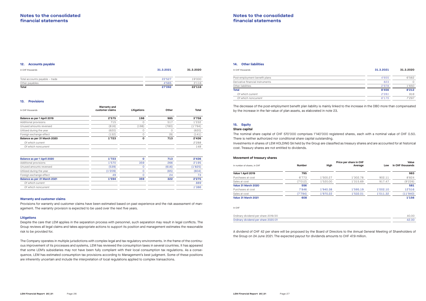#### **12. Accounts payable**

| in CHF thousands               | 31.3.2021 | 31.3.2020 |
|--------------------------------|-----------|-----------|
| Total accounts payable - trade | 22'527    | 19'000    |
| Other payables                 | 4'565     | 3'116     |
| Total                          | 27'092    | 22'116    |

#### **13. Provisions**

| In CHF thousands             | <b>Warranty and</b><br>customer claims | Litigations | Other | <b>Total</b> |
|------------------------------|----------------------------------------|-------------|-------|--------------|
| Balance as per 1 April 2019  | 2'575                                  | 198         | 985   | 3'758        |
| Additional provisions        | 715                                    |             | 517   | 1'232        |
| Unused amounts reversed      | (816)                                  | (198)       | (780) | (1'794)      |
| Utilized during the year     | (620)                                  |             |       | (620)        |
| Foreign exchange effect      | (132)                                  |             | (9)   | (141)        |
| Balance as per 31 March 2020 | 1'723                                  | Ο           | 713   | 2'436        |
| Of which current             |                                        |             |       | 2'288        |
| Of which noncurrent          |                                        |             |       | 148          |
|                              |                                        |             |       |              |

| <b>Balance as per 1 April 2020</b> | 1'723   |     | 713   | 2'436   |
|------------------------------------|---------|-----|-------|---------|
| Additional provisions              | 1'570   | 359 | 266   | 2'195   |
| Unused amounts reversed            | (539)   |     | (616) | (1'825) |
| Utilized during the year           | (1'209) |     | (65)  | (604)   |
| Foreign exchange effect            | 49      |     | 24    |         |
| Balance as per 31 March 2021       | 1'594   | 359 | 322   | 2'275   |
| Of which current                   |         |     |       | 889     |
| Of which noncurrent                |         |     |       | 1'386   |
|                                    |         |     |       |         |

#### **Warranty and customer claims**

Provisions for warranty and customer claims have been estimated based on past experience and the risk assessment of management. The warranty provision is expected to be used over the next five years.

#### **Litigations**

Despite the care that LEM applies in the separation process with personnel, such separation may result in legal conflicts. The Group reviews all legal claims and takes appropriate actions to support its position and management estimates the reasonable risk to be provided for.

The Company operates in multiple jurisdictions with complex legal and tax regulatory environments. In the frame of the continuous improvement of its processes and systems, LEM has reviewed the consumption taxes in several countries. It has appeared that some LEM's subsidiaries may not have been fully compliant with their local consumption tax regulations. As a consequence, LEM has estimated consumption tax provisions according to Management's best judgment. Some of these positions are inherently uncertain and include the interpretation of local regulations applied to complex transactions.

#### **14. Other liabilities**

| In CHF thousands                 | 31.3.2021 | 31.3.2020 |
|----------------------------------|-----------|-----------|
| Post-employment benefit plans    | 4'655     | 6'562     |
| Derivative financial instruments | 823       | ∩         |
| Other liabilities                | 2'978     | 1'650     |
| <b>Total</b>                     | 8'456     | 8'212     |
| Of which current                 | 2'281     | 916       |
| Of which noncurrent              | 6'175     | 7'297     |
|                                  |           |           |

The decrease of the post-employment benefit plan liability is mainly linked to the increase in the DBO more than compensated by the increase in the fair-value of plan assets, as elaborated in note 23.

#### **15. Equity**

#### **Share capital**

The nominal share capital of CHF 570'000 comprises 1'140'000 registered shares, each with a nominal value of CHF 0.50. There is neither authorized nor conditional share capital outstanding. Investments in shares of LEM HOLDING SA held by the Group are classified as treasury shares and are accounted for at historical cost. Treasury shares are not entitled to dividends.

#### **Movement of treasury shares**

|                             |               |          | Price per share in CHF |          | Value            |
|-----------------------------|---------------|----------|------------------------|----------|------------------|
| In number of shares, in CHF | <b>Number</b> | High     | Average                | Low      | in CHF thousands |
| Value 1 April 2019          | 795           |          |                        |          | 983              |
| Purchases at cost           | 6'773         | 1'500.27 | 1'302.78               | 902.11   | 8'824            |
| Sales at cost               | (7'012)       | 1'520.00 | 1'315.69               | 917.47   | (9'226)          |
| Value 31 March 2020         | 556           |          |                        |          | 581              |
| Purchases at cost           | 7'846         | 1'940.38 | 1'595.19               | 1'002.10 | 12'516           |
| Sales at cost               | (7'794)       | 1'970.22 | 1'532.01               | 1'011.32 | (11'940)         |
| Value 31 March 2021         | 608           |          |                        |          | 1'156            |

In CHF

Ordinary dividend per share 2019/20 Ordinary dividend per share 2020/21

A dividend of CHF 42 per share will be proposed by the Board of Directors to the Annual General Meeting of Shareholders of the Group on 24 June 2021. The expected payout for dividends amounts to CHF 47.9 million.

| וח כיו |
|--------|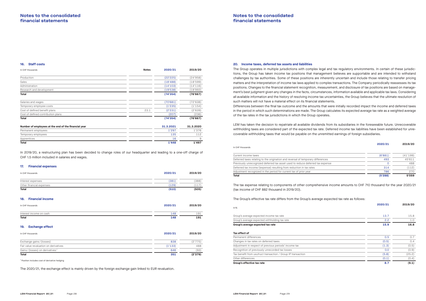#### **16. Staff costs**

| In CHF thousands                                     | <b>Notes</b> | 2020/21   | 2019/20   |
|------------------------------------------------------|--------------|-----------|-----------|
| Production                                           |              | (22'225)  | (24'958)  |
| Sales                                                |              | (18'488)  | (18'599)  |
| Administration                                       |              | (14'103)  | (14'116)  |
| Research and development                             |              | (19'538)  | (18,993)  |
| <b>Total</b>                                         |              | (74'354)  | (76'667)  |
| Salaries and wages                                   |              | (70'681)  | (72'638)  |
| Temporary employee costs                             |              | (1'235)   | (1'154)   |
| Cost of defined benefit plans                        | 23.1         | (2'231)   | (2'639)   |
| Cost of defined contribution plans                   |              | (207)     | (236)     |
| <b>Total</b>                                         |              | (74'354)  | (76'667)  |
| Number of employees at the end of the financial year |              | 31.3.2021 | 31.3.2020 |
| Permanent employees                                  |              | 1'297     | 1'376     |
| Temporary employees                                  |              | 135       | 112       |
| Apprentices                                          |              | 16        | 9         |
| Total                                                |              | 1'448     | 1'497     |

In 2019/20, a restructuring plan has been decided to change roles of our headquarter and leading to a one-off charge of CHF 1.5 million included in salaries and wages.

#### **17. Financial expenses**

| In CHF thousands         | 2020/21 | 2019/20                      |
|--------------------------|---------|------------------------------|
| Interest expenses        | (381)   | (388)                        |
| Other financial expenses | (129)   | (117)<br>$\cdot$ + + $\cdot$ |
| <b>Total</b>             | (510)   | (505)                        |

#### **18. Financial income**

| In CHF thousands        | 2020/21 | 2019/20 |
|-------------------------|---------|---------|
| Interest income on cash | 148     | 191     |
| <b>Total</b>            | 148     | 191     |

#### **19. Exchange effect**

| In CHF thousands                           | 2020/21 | 2019/20 |
|--------------------------------------------|---------|---------|
| Exchange gains/(losses)                    | 838     | (2'775) |
| Fair value revaluation on derivatives      | (1'133) | 488     |
| Gains/(losses) on derivatives <sup>1</sup> | 646     | (93)    |
| Total                                      | 351     | (2'379) |

<sup>1</sup> Position includes cost of derivative hedging

The 2020/21, the exchange effect is mainly driven by the foreign exchange gain linked to EUR revaluation.

#### **20. Income taxes, deferred tax assets and liabilities**

The Group operates in multiple jurisdictions with complex legal and tax regulatory environments. In certain of these jurisdictions, the Group has taken income tax positions that management believes are supportable and are intended to withstand challenges by tax authorities. Some of these positions are inherently uncertain and include those relating to transfer pricing matters and the interpretation of income tax laws applied to complex transactions. The Company periodically reassesses its tax positions. Changes to the financial statement recognition, measurement, and disclosure of tax positions are based on management's best judgment given any changes in the facts, circumstances, information available and applicable tax laws. Considering all available information and the history of resolving income tax uncertainties, the Group believes that the ultimate resolution of such matters will not have a material effect on its financial statements. Differences between the final tax outcome and the amounts that were initially recorded impact the income and deferred taxes in the period in which such determinations are made. The Group calculates its expected average tax rate as a weighted average of the tax rates in the tax jurisdictions in which the Group operates.

LEM has taken the decision to repatriate all available dividends from its subsidiaries in the foreseeable future. Unrecoverable withholding taxes are considered part of the expected tax rate. Deferred income tax liabilities have been established for unrecoverable withholding taxes that would be payable on the unremitted earnings of foreign subsidiaries.

| In CHF thousands                                                                 | 2020/21 | 2019/20  |
|----------------------------------------------------------------------------------|---------|----------|
| Current income taxes                                                             | (6'881) | (41'199) |
| Deferred taxes relating to the origination and reversal of temporary differences | 493     | 45'611   |
| Previously unrecognized deferred tax asset used to reduce deferred tax expense   |         | 488      |
| Deferred tax income/(expense) resulting from reduction in tax rates              | 314     | (112)    |
| Adjustment recognized in the period for current tax of prior year                | 786     | 270      |
| <b>Total</b>                                                                     | (5'288) | 5'059    |

The tax expense relating to components of other comprehensive income amounts to CHF 710 thousand for the year 2020/21 (tax income of CHF 882 thousand in 2019/20).

The Group's effective tax rate differs from the Group's average expected tax rate as follows:

| Overredo errora e erregedad harrieda          |
|-----------------------------------------------|
| Group's average expected withholding tax rate |
| Group's average expected income tax rate      |

|                                                              | 2020/21 | 2019/20 |
|--------------------------------------------------------------|---------|---------|
| $ln\%$                                                       |         |         |
| Group's average expected income tax rate                     | 13.7    | 15.8    |
| Group's average expected withholding tax rate                | 2.2     | 1.0     |
| Group's average expected tax rate                            | 15.9    | 16.8    |
| Tax effect of                                                |         |         |
| Permanent differences                                        | 0.5     | 0.7     |
| Changes in tax rates on deferred taxes                       | (0.5)   | 0.4     |
| Adjustment in respect of previous periods' income tax        | (1.3)   | (0.5)   |
| Recognition of previously unrecorded tax losses              | 0.0     | (0.9)   |
| Tax benefit from usufruct transaction / Group IP transaction | (5.8)   | (25.2)  |
| Other differences                                            | (0.1)   | (0.4)   |
| Group's effective tax rate                                   | 8.7     | (9.1)   |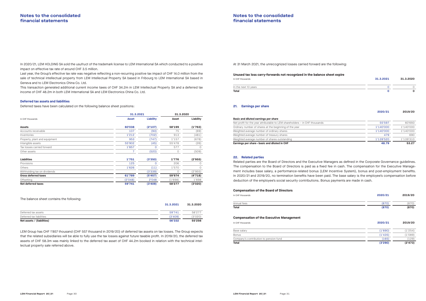In 2020/21, LEM HOLDING SA sold the usufruct of the trademark license to LEM International SA which conducted to a positive impact on effective tax rate of around CHF 3.5 million.

Last year, the Group's effective tax rate was negative reflecting a non-recurring positive tax impact of CHF 14.0 million from the sale of technical intellectual property from LEM Intellectual Property SA based in Fribourg to LEM International SA based in Geneva and to LEM Electronics China Co. Ltd.

This transaction generated additional current income taxes of CHF 34.2m in LEM Intellectual Property SA and a deferred tax income of CHF 48.2m in both LEM International SA and LEM Electronics China Co. Ltd.

#### **Deferred tax assets and liabilities**

Deferred taxes have been calculated on the following balance sheet positions:

|                               | 31.3.2021    |          |         | 31.3.2020 |  |
|-------------------------------|--------------|----------|---------|-----------|--|
| In CHF thousands              | <b>Asset</b> |          | Asset   | Liability |  |
| <b>Assets</b>                 | 60'038       | (2'107)  | 58'199  | (1'763)   |  |
| Accounts receivable           | 107          | (93)     | 75      | (69)      |  |
| Inventories                   | 1'212        | (702)    | 913     | (481)     |  |
| Property, plant and equipment | 953          | (747)    | 1'157   | (678)     |  |
| Intangible assets             | 55'902       | (45)     | 55'478  | (26)      |  |
| Tax losses carried forward    | 1'857        | O        | 577     | 0         |  |
| Other assets                  | 7            | (520)    | $\circ$ | (509)     |  |
| <b>Liabilities</b>            | 1'751        | (3'350)  | 1'776   | (2'955)   |  |
| Provisions                    | 125          | $\Omega$ | 206     | 0         |  |
| <b>Others</b>                 | 1'626        | (11)     | 1'570   | $\circ$   |  |
| Withholding tax on dividends  |              | (3'339)  | 0       | (2'955)   |  |
| <b>Gross deferred taxes</b>   | 61'789       | (5'457)  | 59'974  | (4'718)   |  |
| Offsetting                    | (2'048)      | 2'048    | (1'698) | 1'698     |  |
| Net deferred taxes            | 59'741       | (3'409)  | 58'277  | (3'020)   |  |

#### The balance sheet contains the following:

|                            | 31.3.2021 | 31.3.2020 |
|----------------------------|-----------|-----------|
| Deferred tax assets        | 59'741    | 58'277    |
| Deferred tax liabilities   | (3'409)   |           |
| Net assets / (liabilities) | 56'332    | 55'256    |

LEM Group has CHF 1'857 thousand (CHF 557 thousand in 2019/20) of deferred tax assets on tax losses. The Group expects that the related subsidiaries will be able to fully use the tax losses against future taxable profit. In 2019/20, the deferred tax assets of CHF 58.3m was mainly linked to the deferred tax asset of CHF 44.2m booked in relation with the technical intellectual property sale referred above.

At 31 March 2021, the unrecognized losses carried forward are the following:

## **Unused tax loss carry-forwards not recognized in the balance sheet expire**

| Unused tax loss carry-forwards not recognized in the balance sheet expire<br>In CHF thousands | 31.3.2021 | 31.3.2020 |
|-----------------------------------------------------------------------------------------------|-----------|-----------|
| In the next 10 years                                                                          | O         | $\circ$   |
| Total                                                                                         | O         | O         |
| <b>Earnings per share</b><br>21.                                                              | 2020/21   | 2019/20   |
| Basic and diluted earnings per share                                                          |           |           |
| Net profit for the year attributable to LEM shareholders – in CHF thousands                   | 55'597    | 60'693    |
| Ordinary number of shares at the beginning of the year                                        | 1'140'000 | 1'140'000 |
| Weighted average number of ordinary shares                                                    | 1'140'000 | 1'140'000 |
| Weighted average number of treasury shares                                                    | 479       | 690       |
| Weighted average number of shares outstanding                                                 | 1'139'520 | 1'139'310 |
| Earnings per share - basic and diluted in CHF                                                 | 48.79     | 53.27     |

#### **22. Related parties**

Related parties are the Board of Directors and the Executive Managers as defined in the Corporate Governance guidelines. The compensation to the Board of Directors is paid as a fixed fee in cash. The compensation for the Executive Management includes base salary, a performance-related bonus (LEM Incentive System), bonus and post-employment benefits. In 2020/21 and 2019/20, no termination benefits have been paid. The base salary is the employee's compensation before deduction of the employee's social security contributions. Bonus payments are made in cash.

#### **Compensation of the Board of Directors**

#### **Compensation of the Executive Management**

| Base salary                            |  |
|----------------------------------------|--|
| <b>Bonus</b>                           |  |
| Company's contribution to pension fund |  |
| エヘネヘリ                                  |  |

| In CHF thousands                                | 2020/21 | 2019/20 |
|-------------------------------------------------|---------|---------|
| Annual fees                                     | (870)   | (870)   |
| <b>Total</b>                                    | (870)   | (870)   |
| <b>Compensation of the Executive Management</b> |         |         |
| In CHF thousands                                | 2020/21 | 2019/20 |
| Base salary                                     | (1'690) | (1'254) |
| <b>Bonus</b>                                    | (1'435) | (1'089) |
| Company's contribution to pension fund          | (165)   | (129)   |
| <b>Total</b>                                    | (3'290) | (2'473) |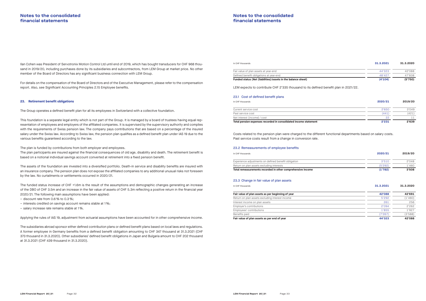Ilan Cohen was President of Servotronix Motion Control Ltd until end of 2019, which has bought transducers for CHF 968 thousand in 2019/20, including purchases done by its subsidiaries and subcontractors, from LEM Group at market price. No other member of the Board of Directors has any significant business connection with LEM Group.

For details on the compensation of the Board of Directors and of the Executive Management, please refer to the compensation report. Also, see Significant Accounting Principles 2.15 Employee benefits.

#### **23. Retirement benefit obligations**

The Group operates a defined benefit plan for all its employees in Switzerland with a collective foundation.

This foundation is a separate legal entity which is not part of the Group. It is managed by a board of trustees having equal representation of employees and employers of the affiliated companies. It is supervised by the supervisory authority and complies with the requirements of Swiss pension law. The company pays contributions that are based on a percentage of the insured salary under the Swiss law. According to Swiss law, the pension plan qualifies as a defined benefit plan under IAS 19 due to the various benefits guaranteed according to the law.

The plan is funded by contributions from both employer and employees.

The plan participants are insured against the financial consequences of old age, disability and death. The retirement benefit is based on a notional individual savings account converted at retirement into a fixed pension benefit.

The assets of the foundation are invested into a diversified portfolio. Death-in service and disability benefits are insured with an insurance company. The pension plan does not expose the affiliated companies to any additional unusual risks not foreseen by the law. No curtailments or settlements occurred in 2020/21.

The funded status increase of CHF +1.6m is the result of the assumptions and demographic changes generating an increase of the DBO of CHF 3.5m and an increase in the fair value of assets of CHF 5.3m reflecting a positive return in the financial year 2020/21. The following main assumptions have been applied:

- discount rate from 0.6 % to 0.3 %;
- interests credited on savings account remains stable at 1 %;
- salary increase rate remains stable at 1 %.

Applying the rules of IAS 19, adjustment from actuarial assumptions have been accounted for in other comprehensive income.

The subsidiaries abroad sponsor either defined contribution plans or defined benefit plans based on local laws and regulations. A former employee in Germany benefits from a defined benefit obligation amounting to CHF 347 thousand at 31.3.2021 (CHF 373 thousand in 31.3.2020). Other subsidiaries' defined benefit obligations in Japan and Bulgaria amount to CHF 202 thousand at 31.3.2021 (CHF 439 thousand in 31.3.2020).

In CHF thousands **31.3.2021 31.3.2020**

| Funded status (Net (liabilities)/assets in the balance sheet) | (4'104) | (5'750) |
|---------------------------------------------------------------|---------|---------|
| Defined benefit obligations at vear-end                       | 48'427  | 47'838  |
| Fair value of plan assets at year-end                         | 44'323  | 42'088  |
|                                                               |         |         |

| Fair value of plan assets at year-end                         |
|---------------------------------------------------------------|
| Defined benefit obligations at year-end                       |
| Funded status (Net (liabilities)/assets in the balance sheet) |

LEM expects to contribute CHF 2'335 thousand to its defined benefit plan in 2021/22.

#### 23.1 Cost of defined benefit plans

| In CHF thousands                                                 | 2020/21 | 2019/20 |
|------------------------------------------------------------------|---------|---------|
| Current service cost                                             | 2'650   | 3'049   |
| Past service cost                                                | (441)   | (421)   |
| Net interest (income) / cost                                     | つつ      |         |
| Total pension expenses recorded in consolidated income statement | 2'231   | 2'639   |

Costs related to the pension plan were charged to the different functional departments based on salary costs. Past service costs result from a change in conversion rate.

#### 23.2 Remeasurements of employee benefits

| Experience adjustments on defined benefit obligation |  |  |  |
|------------------------------------------------------|--|--|--|
|                                                      |  |  |  |

| In CHF thousands                                            | 2020/21 | 2019/20 |
|-------------------------------------------------------------|---------|---------|
| Experience adjustments on defined benefit obligation        | 3'510   | 2'048   |
| Return on plan assets excluding interests                   | (5'292) | 1'460   |
| Total remeasurements recorded in other comprehensive income | (1'782) | 3'508   |
|                                                             |         |         |

#### 23.3 Change in fair value of plan assets

In CHF thousands **31.3.2021 31.3.2020**

| Fair value of plan assets as per beginning of year | 42'088  | 42'691  |
|----------------------------------------------------|---------|---------|
| Return on plan assets excluding interest income    | 5'292   | (1'460) |
| Interest income on plan assets                     | 261     | 256     |
| Employer's contributions                           | 2'094   | 2'262   |
| Employees' contributions                           | 1'855   | 1'927   |
| Benefits paid                                      | (7'267) | (3'588) |
| Fair value of plan assets as per end of year       | 44'323  | 42'088  |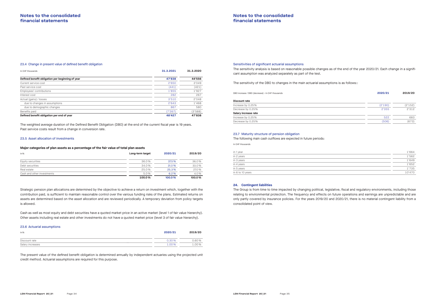#### 23.4 Change in present value of defined benefit obligation

| In CHF thousands                                 | 31.3.2021 | 31.3.2020 |
|--------------------------------------------------|-----------|-----------|
| Defined benefit obligation per beginning of year | 47'838    | 44'556    |
| Current service cost                             | 2'650     | 3'049     |
| Past service cost                                | (441)     | (421)     |
| Employees' contributions                         | 1'855     | 1'927     |
| Interest cost                                    | 282       | 267       |
| Actual (gains) / losses                          | 3'510     | 2'048     |
| due to changes in assumptions                    | 2'643     | 1'468     |
| due to demographic changes                       | 867       | 580       |
| Benefits paid                                    | (7'267)   | (3'588)   |
| Defined benefit obligation per end of year       | 48'427    | 47'838    |

The weighted average duration of the Defined Benefit Obligation (DBO) at the end of the current fiscal year is 19 years. Past service costs result from a change in conversion rate.

#### 23.5 Asset allocation of investments

#### **Major categories of plan assets as a percentage of the fair value of total plan assets**

| $ln\%$                     | Long-term target | 2020/21 | 2019/20 |
|----------------------------|------------------|---------|---------|
| <b>Equity securities</b>   | 36.0%            | 37.5%   | 36.0%   |
| Debt securities            | 34.0%            | 31.0 %  | 33.0%   |
| Real estate                | 25.0%            | 25.3%   | 27.0 %  |
| Cash and other investments | 5.0%             | 6.2%    | 4.0%    |
|                            | 100.0%           | 100.0%  | 100.0%  |

Strategic pension plan allocations are determined by the objective to achieve a return on investment which, together with the contribution paid, is sufficient to maintain reasonable control over the various funding risks of the plans. Estimated returns on assets are determined based on the asset allocation and are reviewed periodically. A temporary deviation from policy targets is allowed.

Cash as well as most equity and debt securities have a quoted market price in an active market (level 1 of fair value hierarchy). Other assets including real estate and other investments do not have a quoted market price (level 3 of fair value hierarchy).

#### 23.6 Actuarial assumptions

| $ln\%$           | 2020/21 | 2019/20    |
|------------------|---------|------------|
| Discount rate    | 0.30%   | $0.60\,\%$ |
| Salary increases | 1.00%   | 1.00%      |

The present value of the defined benefit obligation is determined annually by independent actuaries using the projected unit credit method. Actuarial assumptions are required for this purpose.

#### Sensitivities of significant actuarial assumptions

The sensitivity analysis is based on reasonable possible changes as of the end of the year 2020/21. Each change in a significant assumption was analyzed separately as part of the test.

The sensitivity of the DBO to changes in the main actuarial assumptions is as follows::

| 2020/21 | 2019/20 |
|---------|---------|
|         |         |
| (2'190) | (2'152) |
| 2'355   | 2'312   |
|         |         |
| 522     | 683     |
| (506)   | (673)   |
|         |         |

#### 23.7 Maturity structure of pension obligation

The following main cash outflows are expected in future periods: In CHF thousands

| in 1 year        | 1'664  |
|------------------|--------|
| in 2 years       | 1'562  |
| in 3 years       | 1'649  |
| in 4 years       | 1'652  |
| in 5 years       | 1'735  |
| in 6 to 10 years | 10'470 |

#### **24. Contingent liabilities**

The Group is from time to time impacted by changing political, legislative, fiscal and regulatory environments, including those relating to environmental protection. The frequency and effects on future operations and earnings are unpredictable and are only partly covered by insurance policies. For the years 2019/20 and 2020/21, there is no material contingent liability from a consolidated point of view.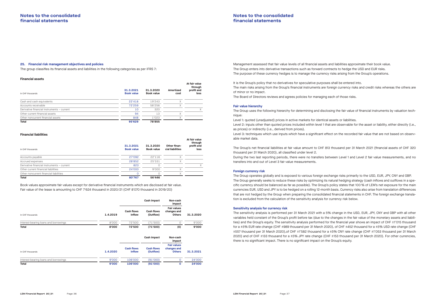#### **25. Financial risk management objectives and policies**

The group classifies its financial assets and liabilities in the following categories as per IFRS 7:

#### **Financial assets**

| In CHF thousands                           | 31.3.2021<br><b>Book value</b> | 31.3.2020<br><b>Book value</b> | <b>Amortized</b><br>cost | At fair value<br>through<br>profit and<br>loss |
|--------------------------------------------|--------------------------------|--------------------------------|--------------------------|------------------------------------------------|
| Cash and cash equivalents                  | 22'418                         | 19'243                         |                          |                                                |
| Accounts receivable                        | 72'259                         | 58'256                         |                          |                                                |
| Derivative financial instruments - current | 10                             | 320                            |                          |                                                |
| Other current financial assets             | 94                             | 13                             |                          |                                                |
| Other noncurrent financial assets          | 848                            | 1'023                          |                          |                                                |
| Total                                      | 95'629                         | 78'855                         |                          |                                                |

#### **Financial liabilities**

| In CHF thousands                           | 31.3.2021<br><b>Book value</b> | 31.3.2020<br><b>Book value</b> | Other finan-<br>cial liabilities | At fair value<br>through<br>profit and<br>loss |
|--------------------------------------------|--------------------------------|--------------------------------|----------------------------------|------------------------------------------------|
| Accounts payable                           | 27'092                         | 22'116                         |                                  |                                                |
| Accrued expenses                           | 28'852                         | 25'331                         |                                  |                                                |
| Derivative financial instruments - current | 823                            |                                |                                  |                                                |
| Other current financial liabilities        | 24'000                         | 9'000                          |                                  |                                                |
| Other noncurrent financial liabilities     |                                |                                |                                  |                                                |
| <b>Total</b>                               | 80'767                         | 56'446                         |                                  |                                                |

Book values approximate fair values except for derivative financial instruments which are disclosed at fair value. Fair value of the lease is amounting to CHF 7'624 thousand in 2020/21 (CHF 8'070 thousand in 2019/20)

|                                       |          |                                    | Cash impact                    | Non-cash<br>impact                                 |           |
|---------------------------------------|----------|------------------------------------|--------------------------------|----------------------------------------------------|-----------|
| In CHF thousands                      | 1.4.2019 | <b>Cash flows</b><br><b>Inflow</b> | <b>Cash flows</b><br>(Outflow) | <b>Fair values</b><br>changes and<br><b>Others</b> | 31.3.2020 |
| Interest-bearing loans and borrowings | 8'000    | 72'500                             | (71'500)                       | ∩                                                  | 9'000     |
| <b>Total</b>                          | 8'000    | 72'500                             | (71'500)                       | (0)                                                | 9'000     |
|                                       |          |                                    | Cash impact                    | Non-cash<br>impact                                 |           |

| In CHF thousands                      | 1.4.2020 | <b>Cash flows</b><br><b>Inflow</b> | <b>Cash flows</b><br>(Outflow) | <b>Fair values</b><br>changes and<br><b>Others</b> | 31.3.2021 |
|---------------------------------------|----------|------------------------------------|--------------------------------|----------------------------------------------------|-----------|
| Interest-bearing loans and borrowings | 9'000    | 106'000                            | (91'000)                       |                                                    | 24'000    |
| <b>Total</b>                          | 9'000    | 106'000                            | (91'000)                       |                                                    | 24'000    |

Management assessed that fair value levels of all financial assets and liabilities approximate their book value. The Group enters into derivative transactions such as forward contracts to hedge the USD and EUR risks. The purpose of these currency hedges is to manage the currency risks arising from the Group's operations.

It is the Group's policy that no derivatives for speculative purposes shall be entered into. The main risks arising from the Group's financial instruments are foreign currency risks and credit risks whereas the others are of minor or no impact.

The Board of Directors reviews and agrees policies for managing each of those risks.

#### **Fair value hierarchy**

The Group uses the following hierarchy for determining and disclosing the fair value of financial instruments by valuation technique:

Level 1: quoted (unadjusted) prices in active markets for identical assets or liabilities. Level 2: inputs other than quoted prices included within level 1 that are observable for the asset or liability, either directly (i.e., as prices) or indirectly (i.e., derived from prices).

Level 3: techniques which use inputs which have a significant effect on the recorded fair value that are not based on observable market data.

The Group's net financial liabilities at fair value amount to CHF 813 thousand per 31 March 2021 (financial assets of CHF 320 thousand per 31 March 2020), all classified under level 2. During the two last reporting periods, there were no transfers between Level 1 and Level 2 fair value measurements, and no transfers into and out of Level 3 fair value measurements.

#### **Foreign currency risk**

The Group operates globally and is exposed to various foreign exchange risks primarily to the USD, EUR, JPY, CNY and GBP. The Group generally seeks to reduce these risks by optimizing its natural hedging strategy (cash inflows and outflows in a specific currency should be balanced as far as possible). The Group's policy states that 100 % of LEM's net exposure for the main currencies EUR, USD and JPY is to be hedged on a rolling 12-month basis. Currency risks also arise from translation differences that are not hedged by the Group when preparing the consolidated financial statements in CHF. The foreign exchange translation is excluded from the calculation of the sensitivity analysis for currency risk below.

#### **Sensitivity analysis for currency risk**

The sensitivity analysis is performed per 31 March 2021 with a 5% change in the USD, EUR, JPY, CNY and GBP with all other variables held constant of the Group's profit before tax (due to the changes in the fair value of the monetary assets and liabilities) and the Group's equity. The sensitivity analysis performed for the financial year shows an impact of CHF ±1'015 thousand for a ±5% EUR rate change (CHF ±989 thousand per 31 March 2020), of CHF ±452 thousand for a ±5% USD rate change (CHF ±557 thousand per 31 March 2020),of CHF ±1'582 thousand for a ±5% CNY rate change (CHF ±1'053 thousand per 31 March 2020) and of CHF ±133 thousand for a ±5% JPY rate change (CHF ±153 thousand per 31 March 2020). For other currencies, there is no significant impact. There is no significant impact on the Group's equity.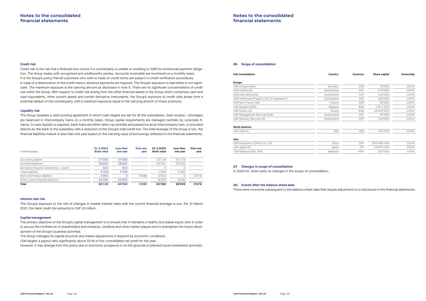#### **Credit risk**

Credit risk is the risk that a financial loss occurs if a counterparty is unable or unwilling to fulfill its contractual payment obligation. The Group trades with recognized and creditworthy parties. Accounts receivable are monitored on a monthly basis. It is the Group's policy that all customers who wish to trade on credit terms are subject to credit verification procedures. In case of a deterioration of the credit history, advance payments are required. The Group's exposure to bad debts is not significant. The maximum exposure is the carrying amount as disclosed in note 5. There are no significant concentrations of credit risk within the Group. With respect to credit risk arising from the other financial assets in the Group which comprises cash and cash equivalents, other current assets and certain derivative instruments, the Group's exposure to credit risks arises from a potential default of the counterparty, with a maximum exposure equal to the carrying amount of these positions.

#### **Liquidity risk**

The Group operates a cash-pooling agreement in which cash targets are set for all the subsidiaries. Cash surplus / shortages are balanced in intercompany loans on a monthly basis. Group capital requirements are managed centrally by corporate finance. In case liquidity is required, bank loans are either taken-up centrally and passed on as an intercompany loan, or provided directly by the bank to the subsidiary with a reduction of the Group's total credit line. The total leverage of the Group is low, the financial liabilities mature in less than one year based on the carrying value of borrowings reflected in the financial statements.

| In CHF thousands                           | 31.3.2021<br><b>Book value</b> | Less than<br>one year | Over one<br>vear | 31.3.2020<br><b>Book value</b> | Less than<br>one year | Over one<br>year |
|--------------------------------------------|--------------------------------|-----------------------|------------------|--------------------------------|-----------------------|------------------|
| Accounts payable                           | 27'092                         | 27'092                |                  | 22'116                         | 22'116                |                  |
| Accrued expenses                           | 28'852                         | 28'852                |                  | 25'331                         | 25'331                |                  |
| Derivative financial instruments - current | 823                            | 823                   |                  |                                | 0                     |                  |
| Lease liabilties                           | 3'458                          | 3'789                 |                  | 1'629                          | 2'392                 |                  |
| Noncurrent lease liabilties                | 3'905                          |                       | 3'836            | 4'514                          | Ω                     | 5'678            |
| Other current financial liabilities        | 24'000                         | 24'000                |                  | 9'000                          | 9'000                 |                  |
| Total                                      | 88'130                         | 84'556                | 3'836            | 62'590                         | 58'839                | 5'678            |

#### **Interest rate risk**

The Group's exposure to the risk of changes in market interest rates with the current financial leverage is low. Per 31 March 2021, the bank credit line amounts to CHF 24 million.

#### **Capital management**

The primary objective of the Group's capital management is to ensure that it maintains a healthy and stable equity ratio in order to secure the confidence of shareholders and investors, creditors and other market players and to strengthen the future development of the Group's business activities.

The Group manages its capital structure and makes adjustments if required by economic conditions.

LEM targets a payout ratio significantly above 50 % of the consolidated net profit for the year.

However, it may diverge from this policy due to economic prospects or on the grounds of planned future investment activities.

#### **26. Scope of consolidation**

| <b>Full consolidation</b>                       | Country     | <b>Currency</b> | Share capital | Ownership |
|-------------------------------------------------|-------------|-----------------|---------------|-----------|
| <b>Europe</b>                                   |             |                 |               |           |
| <b>LEM Europe GmbH</b>                          | Germany     | <b>EUR</b>      | 75'000        | 100%      |
| <b>LEM Holding SA</b>                           | Switzerland | <b>CHF</b>      | 570'000       | 100%      |
| <b>LEM International SA</b>                     | Switzerland | CHF             | 100'000       | 100%      |
| LEM Intellectual Property SA ("in liquidation") | Switzerland | <b>CHF</b>      | 300'000       | 100%      |
| <b>LEM Tech France SAS</b>                      | France      | <b>EUR</b>      | 50'000        | 100%      |
| LEM Bulgaria EOOD                               | Bulgaria    | <b>BGN</b>      | 1'971'000     | 100%      |
| <b>LEM Russia Ltd</b>                           | Russia      | <b>RUB</b>      | 16'400'000    | 100%      |
| <b>LEM Management Services SARL</b>             | Switzerland | <b>CHF</b>      | 20'000        | 100%      |
| <b>LEM Advisory Services SA</b>                 | Switzerland | <b>CHF</b>      | 100'000       | 100%      |
| <b>North America</b>                            |             |                 |               |           |
| LEM USA Inc.                                    | <b>USA</b>  | <b>USD</b>      | 150'000       | 100%      |
| Asia                                            |             |                 |               |           |
| LEM Electronics (China) Co. Ltd                 | China       | <b>CNY</b>      | 204'495'594   | 100%      |
| LEM Japan KK                                    | Japan       | JPY             | 16'000'000    | 100%      |
| LEM Malaysia SDN, BHD                           | Malaysia    | <b>MYR</b>      | 200'000       | 100%      |

| <b>Full consolidation</b>                       | Country     | <b>Currency</b> | <b>Share capital</b> | Ownership |
|-------------------------------------------------|-------------|-----------------|----------------------|-----------|
| <b>Europe</b>                                   |             |                 |                      |           |
| <b>LEM Europe GmbH</b>                          | Germany     | <b>EUR</b>      | 75'000               | 100%      |
| <b>LEM Holding SA</b>                           | Switzerland | CHF             | 570'000              | 100%      |
| <b>LEM International SA</b>                     | Switzerland | CHF             | 100'000              | 100%      |
| LEM Intellectual Property SA ("in liquidation") | Switzerland | CHF             | 300'000              | 100%      |
| <b>LEM Tech France SAS</b>                      | France      | <b>EUR</b>      | 50'000               | 100%      |
| LEM Bulgaria EOOD                               | Bulgaria    | <b>BGN</b>      | 1'971'000            | 100%      |
| <b>LEM Russia Ltd</b>                           | Russia      | <b>RUB</b>      | 16'400'000           | 100%      |
| <b>LEM Management Services SARL</b>             | Switzerland | CHF             | 20'000               | 100%      |
| <b>LEM Advisory Services SA</b>                 | Switzerland | CHF             | 100'000              | 100%      |
| <b>North America</b>                            |             |                 |                      |           |
| LEM USA Inc.                                    | <b>USA</b>  | <b>USD</b>      | 150'000              | 100%      |
| Asia                                            |             |                 |                      |           |
| LEM Electronics (China) Co. Ltd                 | China       | <b>CNY</b>      | 204'495'594          | 100%      |
| LEM Japan KK                                    | Japan       | <b>JPY</b>      | 16'000'000           | 100%      |
| LEM Malaysia SDN, BHD                           | Malaysia    | <b>MYR</b>      | 200'000              | 100%      |

#### **27. Changes in scope of consolidation**

In 2020/21, there were no changes in the scope of consolidation.

#### **28. Events after the balance sheet date**

There were no events subsequent to the balance sheet date that require adjustment to or disclosure in the financial statements.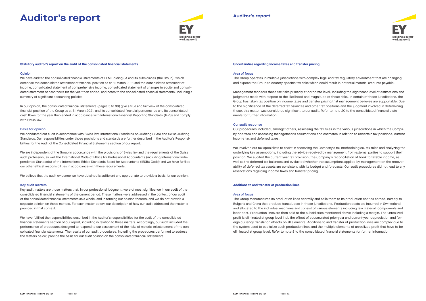

## **Auditor's report**



#### **Statutory auditor's report on the audit of the consolidated financial statements**

#### Opinion

We have audited the consolidated financial statements of LEM Holding SA and its subsidiaries (the Group), which comprise the consolidated statement of financial position as at 31 March 2021 and the consolidated statement of income, consolidated statement of comprehensive income, consolidated statement of changes in equity and consolidated statement of cash flows for the year then ended, and notes to the consolidated financial statements, including a summary of significant accounting policies.

In our opinion, the consolidated financial statements (pages 5 to 39) give a true and fair view of the consolidated financial position of the Group as at 31 March 2021, and its consolidated financial performance and its consolidated cash flows for the year then ended in accordance with International Financial Reporting Standards (IFRS) and comply with Swiss law.

#### Basis for opinion

We conducted our audit in accordance with Swiss law, International Standards on Auditing (ISAs) and Swiss Auditing Standards. Our responsibilities under those provisions and standards are further described in the Auditor's Responsibilities for the Audit of the Consolidated Financial Statements section of our report.

We are independent of the Group in accordance with the provisions of Swiss law and the requirements of the Swiss audit profession, as well the International Code of Ethics for Professional Accountants (including International Independence Standards) of the International Ethics Standards Board for Accountants (IESBA Code) and we have fulfilled our other ethical responsibilities in accordance with these requirements.

We believe that the audit evidence we have obtained is sufficient and appropriate to provide a basis for our opinion.

#### Key audit matters

Key audit matters are those matters that, in our professional judgment, were of most significance in our audit of the consolidated financial statements of the current period. These matters were addressed in the context of our audit of the consolidated financial statements as a whole, and in forming our opinion thereon, and we do not provide a separate opinion on these matters. For each matter below, our description of how our audit addressed the matter is provided in that context.

We have fulfilled the responsibilities described in the Auditor's responsibilities for the audit of the consolidated financial statements section of our report, including in relation to these matters. Accordingly, our audit included the performance of procedures designed to respond to our assessment of the risks of material misstatement of the consolidated financial statements. The results of our audit procedures, including the procedures performed to address the matters below, provide the basis for our audit opinion on the consolidated financial statements.

### **Auditor's report**

#### **Uncertainties regarding Income taxes and transfer pricing**

#### Area of focus

The Group operates in multiple jurisdictions with complex legal and tax regulatory environment that are changing and expose the Group to country specific tax risks which could result in potential material amounts payable.

Management monitors these tax risks primarily at corporate level, including the significant level of estimations and judgments made with respect to the likelihood and magnitude of these risks. In certain of these jurisdictions, the Group has taken tax position on income taxes and transfer pricing that management believes are supportable. Due to the significance of the deferred tax balances and other tax positions and the judgment involved in determining these, this matter was considered significant to our audit. Refer to note 20 to the consolidated financial statements for further information.

#### Our audit response

Our procedures included, amongst others, assessing the tax rules in the various jurisdictions in which the Company operates and assessing management's assumptions and estimates in relation to uncertain tax positions, current income tax and deferred taxes.

We involved our tax specialists to assist in assessing the Company's tax methodologies, tax rules and analyzing the underlying key assumptions, including the advice received by management from external parties to support their position. We audited the current year tax provision, the Company's reconciliation of book to taxable income, as well as the deferred tax balances and evaluated whether the assumptions applied by management on the recoverability of deferred tax assets are consistent with its budget and forecasts. Our audit procedures did not lead to any reservations regarding income taxes and transfer pricing.

#### **Additions to and transfer of production lines**

#### Area of focus

The Group manufactures its production lines centrally and sells them to its production entities abroad, namely to Bulgaria and China that produce transducers in those jurisdictions. Production costs are incurred in Switzerland and allocated to the individual machines and consist of various elements including raw material, components and labor cost. Production lines are then sold to the subsidiaries mentioned above including a margin. The unrealized profit is eliminated at group level incl. the effect of accumulated prior-year and current-year depreciation and foreign currency translation effects on all elements. Additions to and transfer of production lines are complex due to the system used to capitalize such production lines and the multiple elements of unrealized profit that have to be eliminated at group level. Refer to note 8 to the consolidated financial statements for further information.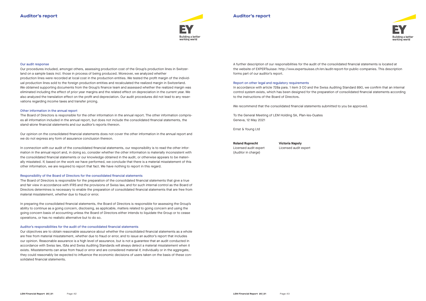

#### Our audit response

Our procedures included, amongst others, assessing production cost of the Group's production lines in Switzerland on a sample basis incl. those in process of being produced. Moreover, we analyzed whether production lines were recorded at local cost in the production entities. We tested the profit margin of the individual production lines sold to the foreign production entities and recalculated the realized margin in Switzerland. We obtained supporting documents from the Group's finance team and assessed whether the realized margin was eliminated including the effect of prior year margins and the related effect on depreciation in the current year. We also analyzed the translation effect on the profit and depreciation. Our audit procedures did not lead to any reservations regarding income taxes and transfer pricing.

#### Other information in the annual report

The Board of Directors is responsible for the other information in the annual report. The other information comprises all information included in the annual report, but does not include the consolidated financial statements, the stand-alone financial statements and our auditor's reports thereon.

Our opinion on the consolidated financial statements does not cover the other information in the annual report and we do not express any form of assurance conclusion thereon.

In connection with our audit of the consolidated financial statements, our responsibility is to read the other information in the annual report and, in doing so, consider whether the other information is materially inconsistent with the consolidated financial statements or our knowledge obtained in the audit, or otherwise appears to be materially misstated. If, based on the work we have performed, we conclude that there is a material misstatement of this other information, we are required to report that fact. We have nothing to report in this regard.

#### Responsibility of the Board of Directors for the consolidated financial statements

The Board of Directors is responsible for the preparation of the consolidated financial statements that give a true and fair view in accordance with IFRS and the provisions of Swiss law, and for such internal control as the Board of Directors determines is necessary to enable the preparation of consolidated financial statements that are free from material misstatement, whether due to fraud or error.

In preparing the consolidated financial statements, the Board of Directors is responsible for assessing the Group's ability to continue as a going concern, disclosing, as applicable, matters related to going concern and using the going concern basis of accounting unless the Board of Directors either intends to liquidate the Group or to cease operations, or has no realistic alternative but to do so.

#### Auditor's responsibilities for the audit of the consolidated financial statements

Our objectives are to obtain reasonable assurance about whether the consolidated financial statements as a whole are free from material misstatement, whether due to fraud or error, and to issue an auditor's report that includes our opinion. Reasonable assurance is a high level of assurance, but is not a guarantee that an audit conducted in accordance with Swiss law, ISAs and Swiss Auditing Standards will always detect a material misstatement when it exists. Misstatements can arise from fraud or error and are considered material if, individually or in the aggregate, they could reasonably be expected to influence the economic decisions of users taken on the basis of these consolidated financial statements.



### **Auditor's report Auditor's report**

A further description of our responsibilities for the audit of the consolidated financial statements is located at the website of EXPERTsuisse: http://www.expertsuisse.ch/en/audit-report-for-public-companies. This description forms part of our auditor's report.

#### Report on other legal and regulatory requirements

In accordance with article 728a para. 1 item 3 CO and the Swiss Auditing Standard 890, we confirm that an internal control system exists, which has been designed for the preparation of consolidated financial statements according to the instructions of the Board of Directors.

We recommend that the consolidated financial statements submitted to you be approved.

To the General Meeting of LEM Holding SA, Plan-les-Ouates Geneva, 12 May 2021

Ernst & Young Ltd

**Roland Ruprecht** Licensed audit expert (Auditor in charge)

**Victoria Napoly** Licensed audit expert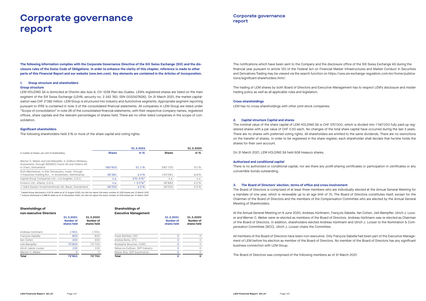## **Corporate governance report**

**The following information complies with the Corporate Governance Directive of the SIX Swiss Exchange (SIX) and the disclosure rules of the Swiss Code of Obligations. In order to enhance the clarity of this chapter, reference is made to other parts of this Financial Report and our website (www.lem.com). Key elements are contained in the Articles of Incorporation.** 

### **1. Group structure and shareholders**

### **Group structure**

LEM HOLDING SA is domiciled at Chemin des Aulx 8, CH–1228 Plan-les-Ouates. LEM's registered shares are listed on the main segment of the SIX Swiss Exchange (LEHN, security no. 2 242 762; ISIN 0022427626). On 31 March 2021, the market capitalization was CHF 2'082 million. LEM Group is structured into Industry and Automotive segments. Appropriate segment reporting pursuant to IFRS is contained in note 3 of the consolidated financial statements. All companies in LEM Group are listed under "Scope of consolidation" in note 26 of the consolidated financial statements, with their respective company names, registered offices, share capitals and the relevant percentages of shares held. There are no other listed companies in the scope of consolidation.

#### **Significant shareholders**

The following shareholders held 3 % or more of the share capital and voting rights:

|                                                                                                                                          |               | 31.3.2021                |               | 31.3.2020 |
|------------------------------------------------------------------------------------------------------------------------------------------|---------------|--------------------------|---------------|-----------|
| In number of shares, per cent of shareholding                                                                                            | <b>Shares</b> | In $%$                   | <b>Shares</b> | In $%$    |
| Werner O. Weber and Ueli Wampfler, in Zollikon/Wollerau,<br>Switzerland, through WEMACO Invest AG and Voltano AG<br>in Cham. Switzerland | 582'600       | 51.1%                    | 582'700       | 51.1%     |
| Ruth Wertheimer, in Kfar Shmaryahu, Israel, through<br>7-Industries Holding B.V., in Amsterdam, Netherlands                              | 36'381        | $3.2\%$                  | 100'081       | 8.8%      |
| Capital Group Companies Ltd., Los Angeles, U.S.A.                                                                                        | n.a.          | $3\% - 5\%$ <sup>1</sup> | n.a.          | n.a.      |
| Invesco Ltd., Atlanta, U.S.A.                                                                                                            | n.a.          | < 3.0 % <sup>2</sup>     | 36'883        | 3.2%      |
| J. Safra Sarasin Investmentfonds AG. Basel, Switzerland                                                                                  | 36'250        | 3.2%                     | 36'000        | 3.2%      |

1 Capital Group disclosed a 3.02 % stake as of 31 August 2020, but did not report the exact number of LEM shares per 31 March 2021 2 Invesco disclosed a 2.998 % stake as of 15 December 2020, but did not report the exact number of LEM shares per 31 March 2021

#### **Shareholdings of Executive Management**

| <b>Shareholdings of</b><br>non-executive Directors |                                              |                                              |
|----------------------------------------------------|----------------------------------------------|----------------------------------------------|
|                                                    | 31.3.2021<br><b>Number of</b><br>shares held | 31.3.2020<br><b>Number of</b><br>shares held |
| Andreas Hürlimann                                  | 1'001                                        | 1'001                                        |
| François Gabella                                   | 600                                          | 600                                          |
| Ilan Cohen                                         | 300                                          | 300                                          |
| Ueli Wampfler                                      | 70'600                                       | 70'700                                       |
| Ulrich Jakob Looser                                | 100                                          | 100                                          |
| Werner C. Weber                                    | 0                                            |                                              |
| エーエーエ                                              | 701004                                       | ,,,,,,                                       |

| . |             |             |
|---|-------------|-------------|
|   | 31.3.2021   | 31.3.2020   |
|   | Number of   | Number of   |
|   | shares held | shares held |

| Total               | 72'601 | 72'701 | Total                          |  |
|---------------------|--------|--------|--------------------------------|--|
| Werner C. Weber     |        |        | Rainer Bos, SVP Automotive     |  |
| Ulrich Jakob Looser | 100    | 100    | Rebecca Cullinan, SVP Industry |  |
| Ueli Wampfler       | 70'600 | 70'700 | Rodolphe Boschet, CHRO         |  |
| Ilan Cohen          | 300    | 300    | Andrea Borla, CFO              |  |
| Francois Gabella    | 600    | 600    | Frank Rehfeld, CEO             |  |
| андгеаѕ пиншанн     | T NAT  | T AAT  |                                |  |

**Corporate governance report**

The notifications which have been sent to the Company and the disclosure office of the SIX Swiss Exchange AG during the financial year pursuant to article 120 of the Federal Act on Financial Market Infrastructures and Market Conduct in Securities and Derivatives Trading may be viewed via the search function on https://www.six-exchange-regulation.com/en/home/publications/significant-shareholders.html/.

The trading of LEM shares by both Board of Directors and Executive Management has to respect LEM's disclosure and insider trading policy as well as all applicable rules and legislation.

#### **Cross-shareholdings**

LEM has no cross-shareholdings with other joint-stock companies.

#### **2. Capital structure Capital and shares**

The nominal value of the share capital of LEM HOLDING SA is CHF 570'000, which is divided into 1'140'000 fully paid-up registered shares with a par value of CHF 0.50 each. No changes of the total share capital have occurred during the last 3 years. There are no shares with preferred voting rights. All shareholders are entitled to the same dividends. There are no restrictions on the transfer of shares. In order to be registered in the share register, each shareholder shall declare that he/she holds the shares for their own account.

On 31 March 2021, LEM HOLDING SA held 608 treasury shares.

#### **Authorized and conditional capital**

There is no authorized or conditional capital, nor are there any profit-sharing certificates or participation in certificates or any convertible bonds outstanding.

#### **3. The Board of Directors' election, terms of office and cross-involvement**

The Board of Directors is comprised of at least three members who are individually elected at the Annual General Meeting for a mandate of one year, which is renewable up to an age limit of 70. The Board of Directors constitutes itself, except for the Chairman of the Board of Directors and the members of the Compensation Committee who are elected by the Annual General Meeting of Shareholders.

At the Annual General Meeting on 9 June 2020, Andreas Hürlimann, François Gabella, Ilan Cohen, Ueli Wampfler, Ulrich J. Looser and Werner C. Weber were re-elected as members of the Board of Directors. Andreas Hürlimann was re-elected as Chairman of the Board of Directors. In addition, shareholders elected Andreas Hürlimann and Ulrich J. Looser to the Nomination & Compensation Committee (NCC). Ulrich J. Looser chairs the Committee.

All members of the Board of Directors have been non-executive. Only François Gabella had been part of the Executive Management of LEM before his election as member of the Board of Directors. No member of the Board of Directors has any significant business connection with LEM Group.

The Board of Directors was comprised of the following members as of 31 March 2021: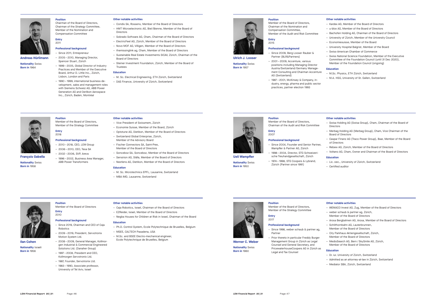**Andreas Hürlimann**

**Nationality** Swiss **Born in** 1964

#### **Position**

Chairman of the Board of Directors, Chairman of the Strategy Committee, Member of the Nomination and Compensation Committee

#### **Entry** 2011

#### **Professional background**

- Since 2011, Entrepreneur
- 2005 – 2010, Managing Director, Spencer Stuart, Zürich
- 1999 – 2005, Global Director of Industry Practices and Member of the Executive Board, Arthur D. Little Inc., Zürich, Lisbon, London and Paris
- 1990 – 1999, international business development, sales and management roles with Siemens Schweiz AG, ABB Power Generation AG and Oerlikon Aerospace Inc., Zürich, Baden, Montréal

#### **Other notable activities**

- Condis SA, Rossens, Member of the Board of Directors
- HMT Microelectronic AG, Biel/Bienne, Member of the Board of Directors
- Sobrado Software AG, Cham, Chairman of the Board of Directors
- ElectricFeel AG, Zürich, Member of the Board of Directors
- Novo MOF AG, Villigen, Member of the Board of Directors
- themissinglink ag, Cham, Member of the Board of Directors
- Sustainable Real Estate Investments SICAV, Zürich, Chairman of the Board of Directors
- Steiner Investment Foundation, Zürich, Member of the Board of Trustees

#### **Education**

- M. Sc. Electrical Engineering, ETH Zürich, Switzerland
- DAS Finance, University of Zürich, Switzerland

**François Gabella Nationality** Swiss **Born in** 1958

#### **Position**

Member of the Board of Directors, Member of the Strategy Committee

**Entry** 2018

#### **Professional background**

- 2010 – 2018, CEO, LEM Group
- 2006 – 2010, CEO, Tesa SA
- 2002 – 2006, SVP, Areva
- 1996 – 2002, Business Area Manager, ABB Power Transformers

#### **Other notable activities**

- Vice President of Swissmem, Zürich
- Economie Suisse, Member of the Board, Zürich
- Optotune AG, Dietikon, Member of the Board of Directors
- Switzerland Global Enterprise, Zürich, Member of the Advisory Board
- Fischer Connectors SA, Saint-Prex, Member of the Board of Directors
- Sonceboz SA, Sonceboz, Member of the Board of Directors
- Sensirion AG, Stäfa, Member of the Board of Directors
- Nextlens AG, Dietikon, Member of the Board of Directors

#### **Education**

- M. Sc. Microtechnics EPFL, Lausanne, Switzerland
- MBA IMD, Lausanne, Switzerland

**Ilan Cohen Nationality** Israeli **Born in** 1956

## **Position**

Member of the Board of Directors **Entry** 2010

#### **Professional background**

- Since 2019, Chairman and CEO of Caja Robotics
- 2009 – 2019, President, Servotronix Motion System Ltd.
- 2008 – 2009, General Manager, Kollmorgen Industrial & Commercial Engineered Solutions Ltd. (Danaher Group)
- 1997 – 2008, President and CEO, Kollmorgen Servotronix Ltd.
- 1987, Founder, Servotronix Ltd.
- 1983 – 1990, Associate professor, University of Tel Aviv, Israel

#### **Other notable activities**

- Caja Robotics, Israel, Chairman of the Board of Directors
- EZReider, Israel, Member of the Board of Directors
- Negba Houses for Children at Risk in Israel, Chairman of the Board

#### **Education**

- Ph.D. Control System, Ecole Polytechnique de Bruxelles, Belgium
- MSEE, CALTECH Pasadena, USA
- M.Sc. and BSEE Electro-mechanical engineer,
- Ecole Polytechnique de Bruxelles, Belgium





**Nationality** Swiss **Born in** 1957

#### **Position** Member of the Board of Directors, Chairman of the Nomination and Compensation Committee, Member of the Audit and Risk Committee

#### **Entry** 2015

#### **Professional background**

- Since 2009, Berg Looser Rauber & Partner (BLR&Partners)
- 2001 – 2009, Accenture, various positions including Managing Director Austria/Switzerland/Germany Management Consulting and Chairman Accenture AG (Switzerland)
- 1987 – 2001, McKinsey & Company, industry, energy, pharma and public sector practices, partner election 1993

#### **Other notable activities**

- Kardex AG, Member of the Board of Directors
- u-blox AG, Member of the Board of Directors
- Bachofen Holding AG, Chairman of the Board of Directors
- University of Zürich, Member of the University Council
- Economiesuisse, Member of the Board
- University Hospital Balgrist, Member of the Board
- Swiss-American Chamber of Commerce
- Swiss National Science Foundation, Member of the Executive Committee of the Foundation Council (until 31 Dec 2020), Member of the Foundation Council (ongoing)

#### **Education**

- M.Sc. Physics, ETH Zürich, Switzerland
- M.A. HSG, University of St. Gallen, Switzerland



# **Nationality** Swiss



**Born in** 1950

#### **Position**

Member of the Board of Directors, Chairman of the Audit and Risk Committee

#### **Entry** 2007

#### **Professional background**

- Since 2004, Founder and Senior Partner, Wampfler & Partner AG, Zürich
- 1998 – 2004, Director, STG Schweizerische Treuhandgesellschaft, Zürich
- 1974 – 1998, STG Coopers & Lybrand, Zürich (Partner since 1991)

#### **Other notable activities**

- Swisa Holding AG (Swisa Group), Cham, Chairman of the Board of Directors
- Merbag Holding AG (Merbag Group), Cham, Vice Chairman of the Board of Directors
- Caspar Finanz AG (Traco Power Group), Baar, Member of the Board of Directors
- Rebew AG, Zürich, Member of the Board of Directors
- Voltano AG, Cham, Owner and Chairman of the Board of Directors

#### **Education**

- Lic. oec., University of Zürich, Switzerland
- Certified auditor

**Werner C. Weber Nationality** Swiss **Born in** 1960

**Position**

Member of the Board of Directors, Member of the Strategy Committee

#### **Entry** 2017

#### **Professional background**

- Since 1998, weber schaub & partner ag, Partner
- Prior thereto in particular Freddy Burger Management Group in Zürich as Legal Counsel and General Secretary, and PricewaterhouseCoopers AG in Zürich as Legal and Tax Counsel

**LEM Financial Report 20|21** Page 46 **Page 46** Page 47 **Page 47** Page 47 **LEM Financial Report 20|21** Page 47

#### **Other notable activities**

- WEMACO Invest AG, Zug, Member of the Board of Directors
- weber schaub & partner ag, Zürich, Member of the Board of Directors
- Arosa Bergbahnen AG, Arosa, Member of the Board of Directors
- Schilthornbahn AG, Lauterbrunnen, Member of the Board of Directors
- City Parkhaus Aktiengesellschaft, Zürich, Member of the Board of Directors
- MedioSearch AG, Bern / SkySmile AG, Zürich, Member of the Board of Directors

#### **Education**

- Dr. iur. University of Zürich, Switzerland
- Admitted as an attorney-at-law in Zürich, Switzerland
- Mediator SBA, Zürich, Switzerland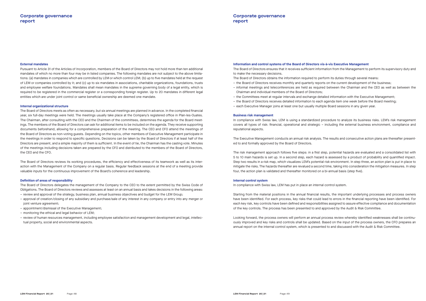#### **External mandates**

Pursuant to Article 31 of the Articles of Incorporation, members of the Board of Directors may not hold more than ten additional mandates of which no more than four may be in listed companies. The following mandates are not subject to the above limitations: (a) mandates in companies which are controlled by LEM or which control LEM; (b) up to five mandates held at the request of LEM or companies controlled by it; and (c) up to six mandates in associations, charitable organizations, foundations, trusts and employee welfare foundations. Mandates shall mean mandates in the supreme governing body of a legal entity, which is required to be registered in the commercial register or a corresponding foreign register. Up to 20 mandates in different legal entities which are under joint control or same beneficial ownership are deemed one mandate.

#### **Internal organizational structure**

The Board of Directors meets as often as necessary, but six annual meetings are planned in advance. In the completed financial year, six full-day meetings were held. The meetings usually take place at the Company's registered office in Plan-les-Ouates. The Chairman, after consulting with the CEO and the Chairmen of the committees, determines the agenda for the Board meetings. The members of the Board of Directors can ask for additional items to be included on the agenda. They receive supporting documents beforehand, allowing for a comprehensive preparation of the meeting. The CEO and CFO attend the meetings of the Board of Directors as non-voting guests. Depending on the topics, other members of Executive Management participate in the meetings in order to respond to specific questions. Decisions can be taken by the Board of Directors if at least half of the Directors are present, and a simple majority of them is sufficient. In the event of tie, the Chairman has the casting vote. Minutes of the meetings including decisions taken are prepared by the CFO and distributed to the members of the Board of Directors, the CEO and the CFO.

The Board of Directors reviews its working procedures, the efficiency and effectiveness of its teamwork as well as its interaction with the Management of the Company on a regular basis. Regular feedback sessions at the end of a meeting provide valuable inputs for the continuous improvement of the Board's coherence and leadership.

#### **Definition of areas of responsibility**

The Board of Directors delegates the management of the Company to the CEO to the extent permitted by the Swiss Code of Obligations. The Board of Directors reviews and assesses at least on an annual basis and takes decisions in the following areas:

- review and approval of the strategy, business plan, annual business objectives and budget for the LEM Group;
- approval of creation/closing of any subsidiary and purchase/sale of any interest in any company or entry into any merger or ioint venture agreement:
- appointment/dismissal of the Executive Management;
- monitoring the ethical and legal behavior of LEM;
- review of human resources management, including employee satisfaction and management development and legal, intellectual property, social and environmental aspects.

#### **Information and control systems of the Board of Directors vis-à-vis Executive Management**

The Board of Directors ensures that it receives sufficient information from the Management to perform its supervisory duty and to make the necessary decisions.

The Board of Directors obtains the information required to perform its duties through several means:

- the Board of Directors receives monthly and quarterly reports on the current development of the business;
- informal meetings and teleconferences are held as required between the Chairman and the CEO as well as between the Chairman and individual members of the Board of Directors;
- the Committees meet at regular intervals and exchange detailed information with the Executive Management;
- the Board of Directors receives detailed information to each agenda item one week before the Board meeting;
- each Executive Manager joins at least one but usually multiple Board sessions in any given year.

#### **Business risk management**

In compliance with Swiss law, LEM is using a standardized procedure to analyze its business risks. LEM's risk management covers all types of risk: financial, operational and strategic – including the external business environment, compliance and reputational aspects.

The Executive Management conducts an annual risk analysis. The results and consecutive action plans are thereafter presented to and formally approved by the Board of Directors.

The risk management approach follows five steps: in a first step, potential hazards are evaluated and a consolidated list with 5 to 10 main hazards is set up. In a second step, each hazard is assessed by a product of probability and quantified impact. Step two results in a risk map, which visualizes LEM's potential risk environment. In step three, an action plan is put in place to mitigate the risks. The hazards thereafter are revalued a second time, taking into consideration the mitigation measures. In step four, the action plan is validated and thereafter monitored on a bi-annual basis (step five).

#### **Internal control system**

In compliance with Swiss law, LEM has put in place an internal control system.

Starting from the material positions in the annual financial results, the important underlying processes and process owners have been identified. For each process, key risks that could lead to errors in the financial reporting have been identified. For each key risk, key controls have been defined and responsibilities assigned to assure effective compliance and documentation of the key controls. The process has been presented to and approved by the Audit & Risk Committee.

Looking forward, the process owners will perform an annual process review whereby identified weaknesses shall be continuously improved and key risks and controls shall be updated. Based on the input of the process owners, the CFO prepares an annual report on the internal control system, which is presented to and discussed with the Audit & Risk Committee.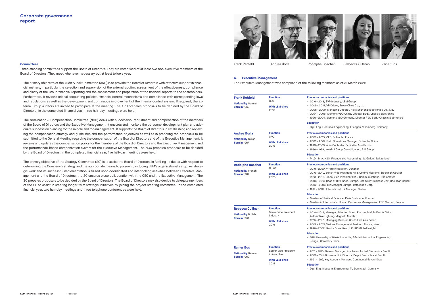#### **Committees**

Three standing committees support the Board of Directors. They are comprised of at least two non-executive members of the Board of Directors. They meet whenever necessary but at least twice a year.

- The primary objective of the Audit & Risk Committee (ARC) is to provide the Board of Directors with effective support in financial matters, in particular the selection and supervision of the external auditor, assessment of the effectiveness, compliance and clarity of the Group financial reporting and the assessment and preparation of the financial reports to the shareholders. Furthermore, it reviews critical accounting policies, financial control mechanisms and compliance with corresponding laws and regulations as well as the development and continuous improvement of the internal control system. If required, the external Group auditors are invited to participate at the meeting. The ARC prepares proposals to be decided by the Board of Directors. In the completed financial year, three half-day meetings were held.
- The Nomination & Compensation Committee (NCC) deals with succession, recruitment and compensation of the members of the Board of Directors and the Executive Management. It ensures and monitors the personnel development plan and adequate succession planning for the middle and top management. It supports the Board of Directors in establishing and reviewing the compensation strategy and guidelines and the performance objectives as well as in preparing the proposals to be submitted to the General Meeting regarding the compensation of the Board of Directors and of the Executive Management. It reviews and updates the compensation policy for the members of the Board of Directors and the Executive Management and the performance-based compensation system for the Executive Management. The NCC prepares proposals to be decided by the Board of Directors. In the completed financial year, five half-day meetings were held.
- The primary objective of the Strategy Committee (SC) is to assist the Board of Directors in fulfilling its duties with respect to determining the Company's strategy and the appropriate means to pursue it, including LEM's organizational setup. As strategic work and its successful implementation is based upon coordinated and interlocking activities between Executive Management and the Board of Directors, the SC ensures close collaboration with the CEO and the Executive Management. The SC prepares proposals to be decided by the Board of Directors. The Board of Directors may also decide to delegate members of the SC to assist in steering longer-term strategic initiatives by joining the project steering committee. In the completed financial year, two half-day meetings and three telephone conferences were held.



- 2009 – 2015, VP Drives, Brose China Co., Ltd.
- 2006 – 2009, Managing Director, Hella Shanghai Electronics Co., Ltd.
- 2004 – 2006, Siemens VDO China, Director Body/Chassis Electronics
- 04. Siemens VDO Germany, Director R&D Body/Chassis Electronics

#### Electrical Engineering, Erlangen-Nuremberg, Germany

- 2019 – 2020, VP HR integration, Danaher
- 19, Senior Vice President HR & Communications, Beckman Coulter
- 2013 – 2016, Global Vice President HR & Communications, Radiometer
- 013, Head of HR France, Europe, Chemistry Business Unit, Beckman Coulter
- 006, HR Manager Europe, Datascope Corp
- 02, International HR Manager, Cartier

f Political Science, Paris Sorbonne, France l International Human Resources Management, ENS Cachan, France

#### **4. Executive Management**

The Executive Management was comprised of the following members as of 31 March 2021:

#### **Previous companies and positions**

18. SVP Industry, LEM Group

#### **Previous companies and positions**

- 015, CFO, Schindler France
- 007, Field Operations Manager, Schindler China
- 03, Area Controller, Schindler Asia Pacific
- 99. Head of Group Consolidation, SAirGroup

#### A. HSG, Finance and Accounting, St. Gallen, Switzerland

#### **Previous companies and positions**

| <b>Frank Rehfeld</b><br><b>Nationality German</b><br><b>Born in 1968</b>     | <b>Function</b><br>CEO<br><b>With LEM since</b><br>2016                                 | <b>Previous cor</b><br>$-2016 - 201$<br>$-2009-20$<br>$-2006-20$<br>$-2004-20$<br>$-1996 - 200$<br><b>Education</b><br>- Dipl. Eng.                                       |
|------------------------------------------------------------------------------|-----------------------------------------------------------------------------------------|---------------------------------------------------------------------------------------------------------------------------------------------------------------------------|
| <b>Andrea Borla</b><br><b>Nationality Swiss</b><br><b>Born in 1967</b>       | <b>Function</b><br>CFO<br><b>With LEM since</b><br>2015                                 | <b>Previous cor</b><br>$-2008-20$<br>$-2003-20$<br>$-1999 - 200$<br>$-1996-199$<br><b>Education</b><br>$-$ Ph.D., M.A                                                     |
| <b>Rodolphe Boschet</b><br><b>Nationality French</b><br><b>Born in 1967</b>  | <b>Function</b><br><b>CHRO</b><br><b>With LEM since</b><br>2020                         | <b>Previous cor</b><br>$-2019 - 202$<br>$-2016 - 201$<br>$-2013 - 201$<br>$-2006-20$<br>$-2002 - 20$<br>$-1997 - 200$<br><b>Education</b><br>- Masters of<br>- Masters in |
| <b>Rebecca Cullinan</b><br><b>Nationality British</b><br><b>Born in 1970</b> | <b>Function</b><br>Senior Vice President<br>Industry<br><b>With LEM since</b><br>2019   | <b>Previous cor</b><br>$-2018-201$<br>Automotiv<br>$-2015 - 201$<br>$-2002-20$<br>$-1998-200$<br><b>Education</b><br>- MBA Unive<br>Jiangsu U                             |
| <b>Rainer Bos</b><br><b>Nationality German</b><br><b>Born in 1962</b>        | <b>Function</b><br>Senior Vice President<br>Automotive<br><b>With LEM since</b><br>2015 | <b>Previous cor</b><br>$-2011 - 201$<br>$-2001 - 201$<br>$-1991 - 1999$<br><b>Education</b><br>- Dipl. Eng.                                                               |







#### **Previous companies and positions**

- 19, Managing Director, South Europe, Middle East & Africa, re Lighting/Magnetti Marelli
- 
- 18, Managing Director, South East Asia, Valeo
- 015, Various Management Position, France, Valeo
- 02, Senior Consultant, UK, IHS Global Insight

ersity of Westminster UK, BSc in Mechanical Engineering, niversity China

#### **Previous companies and positions**

- 15, General Manager, Amphenol Tuchel Electronics GmbH 11, Business Unit Director, Delphi Deutschland GmbH 99, Key Account Manager, Continental-Teves KGaA
- Industrial Engineering, TU Darmstadt, Germany

Frank Rehfeld Andrea Borla Rodolphe Boschet Rebecca Cullinan Rainer Bos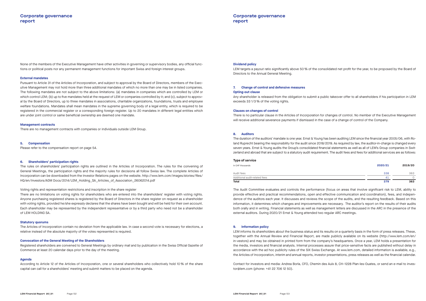None of the members of the Executive Management have other activities in governing or supervisory bodies, any official functions or political posts nor any permanent management functions for important Swiss and foreign interest groups.

#### **External mandates**

Pursuant to Article 31 of the Articles of Incorporation, and subject to approval by the Board of Directors, members of the Executive Management may not hold more than three additional mandates of which no more than one may be in listed companies. The following mandates are not subject to the above limitations: (a) mandates in companies which are controlled by LEM or which control LEM; (b) up to five mandates held at the request of LEM or companies controlled by it; and (c), subject to approval by the Board of Directors, up to three mandates in associations, charitable organizations, foundations, trusts and employee welfare foundations. Mandates shall mean mandates in the supreme governing body of a legal entity, which is required to be registered in the commercial register or a corresponding foreign register. Up to 20 mandates in different legal entities which are under joint control or same beneficial ownership are deemed one mandate.

#### **Management contracts**

There are no management contracts with companies or individuals outside LEM Group.

#### **5. Compensation**

Please refer to the compensation report on page 54.

#### **6. Shareholders' participation rights**

The rules on shareholders' participation rights are outlined in the Articles of Incorporation. The rules for the convening of General Meetings, the participation rights and the majority rules for decisions all follow Swiss law. The complete Articles of Incorporation can be downloaded from the Investor Relations pages on the website. http://www.lem.com/images/stories/files/ HQ/en/Investors/AGM Docs/2014/LEM\_Holding\_SA\_Articles\_of\_Association\_26062014.pdf

#### Voting rights and representation restrictions and inscription in the share register

There are no limitations on voting rights for shareholders who are entered into the shareholders' register with voting rights. Anyone purchasing registered shares is registered by the Board of Directors in the share register on request as a shareholder with voting rights, provided he/she expressly declares that the shares have been bought and will be held for their own account. Each shareholder may be represented by the independent representative or by a third party who need not be a shareholder of LEM HOLDING SA.

#### **Statutory quorums**

The Articles of Incorporation contain no deviation from the applicable law. In case a second vote is necessary for elections, a relative instead of the absolute majority of the votes represented is required.

#### **Convocation of the General Meeting of the Shareholders**

Registered shareholders are convened to General Meetings by ordinary mail and by publication in the Swiss Official Gazette of Commerce at least 20 calendar days prior to the day of the meeting.

#### **Agenda**

According to Article 12 of the Articles of Incorporation, one or several shareholders who collectively hold 10 % of the share capital can call for a shareholders' meeting and submit matters to be placed on the agenda.

#### **Dividend policy**

LEM targets a payout ratio significantly above 50 % of the consolidated net profit for the year, to be proposed by the Board of Directors to the Annual General Meeting.

#### **7. Change of control and defensive measures Opting-out clause**

Any shareholder is released from the obligation to submit a public takeover offer to all shareholders if his participation in LEM exceeds 33 1/3 % of the voting rights.

#### **Clauses on changes of control**

There is no particular clause in the Articles of Incorporation for changes of control. No member of the Executive Management will receive additional severance payments if dismissed in the case of a change of control of the Company.

#### **8. Auditors**

The duration of the auditors' mandate is one year. Ernst & Young has been auditing LEM since the financial year 2005/06, with Roland Ruprecht bearing the responsibility for the audit since 2018/2019. As required by law, the auditor-in-charge is changed every seven years. Ernst & Young audits the Group's consolidated financial statements as well as all of LEM's Group companies in Switzerland and abroad that are subject to a statutory audit requirement. The audit fees and fees for additional services are as follows:

#### **Type of service**

| In CHF thousands              | 2020/21 | 2019/20 |
|-------------------------------|---------|---------|
| Audit fees                    | 338     | 363     |
| Additional audit-related fees | 41      |         |
| <b>Total</b>                  | 379     | 363     |

The Audit Committee evaluates and controls the performance (focus on areas that involve significant risk to LEM, ability to provide effective and practical recommendations, open and effective communication and coordination), fees, and independence of the auditors each year. It discusses and reviews the scope of the audits, and the resulting feedback. Based on this information, it determines which changes and improvements are necessary. The auditor's report on the results of their audits both orally and in writing. Financial statements as well as management letters are discussed in the ARC in the presence of the external auditors. During 2020/21 Ernst & Young attended two regular ARC meetings.

#### **9. Information policy**

LEM informs its shareholders about the business status and its results on a quarterly basis in the form of press releases. These, together with the Annual Review and Financial Report, are made publicly available on its website (http://www.lem.com/en/ in-vestors) and may be obtained in printed form from the company's headquarters. Once a year, LEM holds a presentation for the media, investors and financial analysts. Internal processes assure that price-sensitive facts are published without delay in accordance with the ad hoc publicity rules of the SIX Swiss Exchange. At www.lem.com, detailed information is available, e.g., the Articles of Incorporation, interim and annual reports, investor presentations, press releases as well as the financial calendar.

Contact for investors and media: Andrea Borla, CFO, Chemin des Aulx 8, CH–1228 Plan-les-Ouates, or send an e-mail to investor@lem.com (phone: +41 22 706 12 50).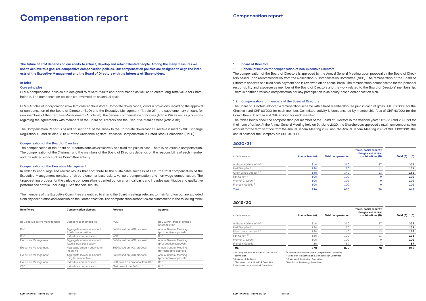**The future of LEM depends on our ability to attract, develop and retain talented people. Among the many measures we use to achieve this goal are competitive compensation policies. Our compensation policies are designed to align the interests of the Executive Management and the Board of Directors with the interests of Shareholders.**

#### **In brief**

#### Core principles

LEM's compensation policies are designed to reward results and performance as well as to create long-term value for Shareholders. The compensation policies are reviewed on an annual basis.

LEM's Articles of Incorporation (www.lem.com/en/Investors > Corporate Governance) contain provisions regarding the approval of compensation of the Board of Directors (BoD) and the Executive Management (Article 27), the supplementary amount for new members of the Executive Management (Article 28), the general compensation principles (Article 29) as well as provisions regarding the agreements with members of the Board of Directors and the Executive Management (Article 30).

The Compensation Report is based on section 5 of the annex to the Corporate Governance Directive issued by SIX Exchange Regulation AG and articles 13 to 17 of the Ordinance Against Excessive Compensation in Listed Stock Companies (OaEC).

#### Compensation of the Board of Directors

The compensation of the Board of Directors consists exclusively of a fixed fee paid in cash. There is no variable compensation. The compensation of the Chairman and the members of the Board of Directors depends on the responsibility of each member and the related work such as Committee activity.

#### Compensation of the Executive Management

In order to encourage and reward results that contribute to the sustainable success of LEM, the total compensation of the Executive Management consists of three elements: base salary, variable compensation and non-wage compensation. The target-setting process for the variable compensation is carried out on an annual basis and includes quantitative and qualitative performance criteria, including LEM's financial results.

The members of the Executive Committee are entitled to attend the Board meetings relevant to their function but are excluded from any deliberation and decision on their compensation. The compensation authorities are summarized in the following table:

| <b>Beneficiary</b>                  | <b>Compensation element</b>                          | Proposal                       | Approval                                           |
|-------------------------------------|------------------------------------------------------|--------------------------------|----------------------------------------------------|
| <b>BoD and Executive Management</b> | Compensation principles                              | NCC                            | BoD within limits of articles<br>of association    |
| <b>BoD</b>                          | Aggregate maximum amount<br>fixed compensation       | BoD based on NCC proposal      | Annual General Meeting<br>(prospective approval)   |
| <b>BoD</b>                          | Individual compensation                              | <b>NCC</b>                     | <b>BoD</b>                                         |
| <b>Executive Management</b>         | Aggregate maximum amount<br>fixed annual base salary | BoD based on NCC proposal      | Annual General Meeting<br>(prospective approval)   |
| <b>Executive Management</b>         | Aggregate amount short-term<br>incentive             | BoD based on NCC proposal      | Annual General Meeting<br>(retrospective approval) |
| <b>Executive Management</b>         | Aggregate maximum amount<br>long-term incentive      | BoD based on NCC proposal      | Annual General Meeting<br>(prospective approval)   |
| <b>Executive Management</b>         | Individual compensation                              | NCC based on proposal from CEO | <b>BoD</b>                                         |
| CEO                                 | Individual compensation                              | Chairman of the BoD            | <b>BoD</b>                                         |

## **Compensation report**

#### **1. Board of Directors**

1.1 General principles for compensation of non-executive Directors The compensation of the Board of Directors is approved by the Annual General Meeting upon proposal by the Board of Directors based upon recommendation from the Nomination & Compensation Committee (NCC). The remuneration of the Board of Directors consists of a fixed cash payment and is reviewed on an annual basis. The remuneration compensates for the personal responsibility and exposure as member of the Board of Directors and the work related to the Board of Directors' membership. There is neither a variable compensation nor any participation in an equity-based compensation plan.

1.2 Compensation for members of the Board of Directors

The Board of Directors adopted a remuneration scheme with a fixed membership fee paid in cash of gross CHF 250'000 for the Chairman and CHF 80'000 for each member. Committee activity is compensated by membership fees of CHF 40'000 for the Committee's Chairman and CHF 20'000 for each member. The tables below show the compensation per member of the Board of Directors in the financial years 2019/20 and 2020/21 for their term of office. At the Annual General Meeting held on 9th June 2020, the Shareholders approved a maximum compensation amount for the term of office from the Annual General Meeting 2020 until the Annual General Meeting 2021 of CHF 1'100'000. The actual costs for the Company are CHF 948'000.

#### **2020/21**

| In CHF thousands                     | Annual fees (A) | <b>Total compensation</b> | <b>Taxes, social security</b><br>charges and similar<br>contributions (B) | Total $(A) + (B)$ |
|--------------------------------------|-----------------|---------------------------|---------------------------------------------------------------------------|-------------------|
| Andreas Hürlimann <sup>1, 5, 6</sup> | 310             | 310                       | 27                                                                        | 337               |
| Ueli Wampfler <sup>2</sup>           | 120             | 120                       | 11                                                                        | 131               |
| Ulrich Jakob Looser <sup>3, 4</sup>  | 140             | 140                       | 13                                                                        | 153               |
| Ilan Cohen <sup>a</sup>              | 100             | 100                       | $\overline{9}$                                                            | 109               |
| Werner C. Weber <sup>7</sup>         | 100             | 100                       | 9                                                                         | 109               |
| François Gabella <sup>7</sup>        | 100             | 100                       | 9                                                                         | 109               |
| <b>Total</b>                         | 870             | 870                       | 78                                                                        | 948               |
| 2019/20                              |                 |                           |                                                                           |                   |
| In CHF thousands                     | Annual fees (A) | <b>Total compensation</b> | Taxes, social security<br>charges and similar<br>contributions (B)        | Total $(A) + (B)$ |

| In CHF thousands                                                                                                                                                     | Annual fees (A)                                                                                                                                                                                                                        | <b>Total compensation</b> | charges and similar<br>contributions (B) | Total $(A) + (B)$ |
|----------------------------------------------------------------------------------------------------------------------------------------------------------------------|----------------------------------------------------------------------------------------------------------------------------------------------------------------------------------------------------------------------------------------|---------------------------|------------------------------------------|-------------------|
| Andreas Hürlimann <sup>1, 5, 6</sup>                                                                                                                                 | 310                                                                                                                                                                                                                                    | 310                       | 27                                       | 337               |
| Ueli Wampfler <sup>2</sup>                                                                                                                                           | 120                                                                                                                                                                                                                                    | 120                       | 11                                       | 131               |
| Ulrich Jakob Looser <sup>3, 4</sup>                                                                                                                                  | 140                                                                                                                                                                                                                                    | 140                       | 13                                       | 153               |
| Ilan Cohen <sup>7, a</sup>                                                                                                                                           | 120                                                                                                                                                                                                                                    | 120                       | 11                                       | 131               |
| Werner C. Weber                                                                                                                                                      | 100                                                                                                                                                                                                                                    | 100                       | 9                                        | 109               |
| François Gabella                                                                                                                                                     | 80                                                                                                                                                                                                                                     | 80                        |                                          | 87                |
| Total                                                                                                                                                                | 870                                                                                                                                                                                                                                    | 870                       | 78                                       | 948               |
| <sup>a</sup> including the amount of CHF 20'000 for R&D<br>contribution<br><sup>1</sup> Chairman of the Board<br><sup>2</sup> Chairman of the Audit & Risk Committee | <sup>4</sup> Chairman of the Nomination & Compensation Committee<br><sup>5</sup> Member of the Nomination & Compensation Committee<br><sup>6</sup> Chairman of the Strategy Committee<br><sup>7</sup> Member of the Strategy Committee |                           |                                          |                   |

<sup>3</sup> Member of the Audit & Risk Committee

| 310 | 27 | 337 |
|-----|----|-----|
| 120 | 11 | 131 |
| 140 | 13 | 153 |
| 120 | 11 | 131 |
| 100 | 9  | 109 |
| 80  |    | 87  |
| 870 | 78 | 948 |
|     |    |     |

<sup>7</sup> Member of the Strategy Committee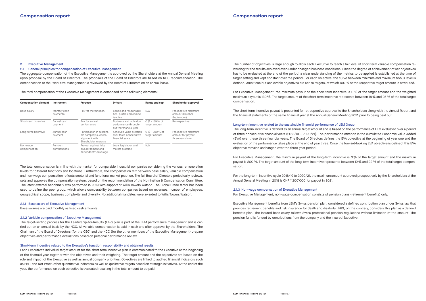#### **2. Executive Management**

#### 2.1 General principles for compensation of Executive Management

The aggregate compensation of the Executive Management is approved by the Shareholders at the Annual General Meeting upon proposal by the Board of Directors. The proposals of the Board of Directors are based on NCC recommendation. The compensation of the Executive Management is reviewed by the Board of Directors on an annual basis.

The total compensation of the Executive Management is composed of the following elements:

| <b>Compensation element</b> | Instrument               | <b>Purpose</b>                                                                                | <b>Drivers</b>                                                            | Range and cap                     | Shareholder approval                                          |
|-----------------------------|--------------------------|-----------------------------------------------------------------------------------------------|---------------------------------------------------------------------------|-----------------------------------|---------------------------------------------------------------|
| Base salary                 | Monthly cash<br>payments | Pay for the function                                                                          | Scope and responsibili-<br>ties, profile and compe-<br>tencies            | N/A                               | Prospective maximum<br>amount (October -<br>September)        |
| Short-term incentive        | Annual cash<br>payment   | Pay for annual<br>performance                                                                 | Business and individual<br>performance through-<br>out the financial year | $0\% - 139\%$ of<br>target amount | Retrospective                                                 |
| Long-term incentive         | Annual cash<br>payment   | Participation in sustaina-<br>ble company success,<br>alignment with<br>Shareholder interests | Achieved value creation<br>over three consecutive<br>financial years      | $0\% - 200\%$ of<br>target amount | Prospective maximum<br>amount for payout<br>three years later |
| Non-wage<br>compensation    | Pension<br>contributions | Protect against risks<br>plus retirement and<br>dependents' coverage                          | Local legislation and<br>market practice                                  | N/A                               |                                                               |

The total compensation is in line with the market for comparable industrial companies considering the various remuneration levels for different functions and locations. Furthermore, the compensation mix between base salary, variable compensation and non-wage compensation reflects sectorial and functional market practice. The full Board of Directors periodically reviews, sets and approves the compensation system, based on the recommendation of the Nomination & Compensation Committee. The latest external benchmark was performed in 2019 with support of Willis Towers Watson. The Global Grade factor has been used to define the peer group, which allows comparability between companies based on revenues, number of employees, geographical scope, business complexity and diversity. No additional mandates were awarded to Willis Towers Watson.

#### 2.1.1 Base salary of Executive Management

Base salaries are paid monthly as fixed cash amounts.

#### 2.1.2 Variable compensation of Executive Management

The target-setting process for the Leadership-for-Results (L4R) plan is part of the LEM performance management and is carried out on an annual basis by the NCC. All variable compensation is paid in cash and after approval by the Shareholders. The Chairman of the Board of Directors (for the CEO) and the NCC (for the other members of the Executive Management) prepare objectives and performance evaluations based on personal performance review.

#### Short-term incentive related to the Executive's function, responsibility and obtained results

Each Executive's individual target amount for the short-term incentive plan is communicated to the Executive at the beginning of the financial year together with the objectives and their weighting. The target amount and the objectives are based on the role and impact of the Executive as well as annual company priorities. Objectives are linked to audited financial indicators such as EBIT and Net Profit, other quantitative indicators as well as qualitative targets based on strategic initiatives. At the end of the year, the performance on each objective is evaluated resulting in the total amount to be paid.

The number of objectives is large enough to allow each Executive to reach a fair level of short-term variable compensation rewarding for the results achieved even under changed business conditions. Since the degree of achievement of set objectives has to be evaluated at the end of the period, a clear understanding of the metrics to be applied is established at the time of target setting and kept constant over the period. For each objective, the curve between minimum and maximum bonus level is defined. Ambitious but achievable objectives are set as targets, at which 100 % of the respective target amount is attributed.

For Executive Management, the minimum payout of the short-term incentive is 0 % of the target amount and the weighted maximum payout is 139 %. The target amount of the short-term incentive represents between 18 % and 25 % of the total target compensation.

The short-term incentive payout is presented for retrospective approval to the Shareholders along with the Annual Report and the financial statements of the same financial year at the Annual General Meeting 2021 prior to being paid out.

## Long-term incentive related to the sustainable financial performance of LEM Group

The long-term incentive is defined as an annual target amount and is based on the performance of LEM evaluated over a period of three consecutive financial years (2018/19 – 2020/21). The performance criterion is the cumulated Economic Value Added (EVA) over these three financial years. The Board of Directors defines the EVA objective at the beginning of year one and the evaluation of the performance takes place at the end of year three. Once the forward-looking EVA objective is defined, this EVA objective remains unchanged over the three-year period.

For Executive Management, the minimum payout of the long-term incentive is 0 % of the target amount and the maximum payout is 200 %. The target amount of the long-term incentive represents between 12 % and 22 % of the total target compensation.

For the long-term incentive cycle 2018/19 to 2020/21, the maximum amount approved prospectively by the Shareholders at the Annual General Meeting in 2018 is CHF 1'200'000 for payout in 2021.

#### 2.1.3 Non-wage compensation of Executive Management

For Executive Management, non-wage compensation consists of pension plans (retirement benefits) only.

Executive Management benefits from LEM's Swiss pension plan, considered a defined contribution plan under Swiss law that provides retirement benefits and risk insurance for death and disability. IFRS, on the contrary, considers this plan as a defined benefits plan. The insured base salary follows Swiss professional pension regulations without limitation of the amount. The pension fund is funded by contributions from the company and the insured Executive.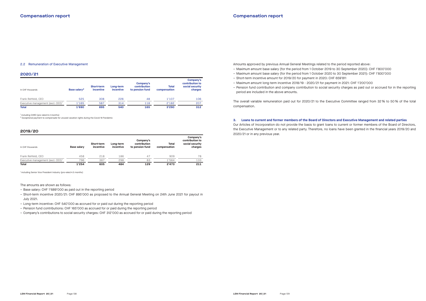#### 2.2 Remuneration of Executive Management

#### **2020/21**

| In CHF thousands                              | Base salary <sup>2</sup> | <b>Short-term</b><br>incentive | Long-term<br><i>incentive</i> | Company's<br>contribution<br>to pension fund | <b>Total</b><br>compensation | Company's<br>contribution to<br>social security<br>charges |
|-----------------------------------------------|--------------------------|--------------------------------|-------------------------------|----------------------------------------------|------------------------------|------------------------------------------------------------|
| Frank Rehfeld, CEO                            | 525                      | 308                            | 226                           | 48                                           | 1'107                        | 106                                                        |
| Executive management (excl. CEO) <sup>1</sup> | 1'165                    | 587                            | 314                           | 118                                          | 2'182                        | 207                                                        |
| <b>Total</b>                                  | 1'690                    | 895                            | 540                           | 165                                          | 3'290                        | 312                                                        |

<sup>1</sup> including CHRO (pro-rated 6.3 months)

2 Exceptional payment to compensate for unused vacation rights during the Covid 19 Pandemic

### **2019/20**

| In CHF thousands                              | <b>Base salary</b> | <b>Short-term</b><br>incentive | Long-term<br>incentive | Company's<br>contribution<br>to pension fund | <b>Total</b><br>compensation | Company's<br>contribution to<br>social security<br>charges |
|-----------------------------------------------|--------------------|--------------------------------|------------------------|----------------------------------------------|------------------------------|------------------------------------------------------------|
| Frank Rehfeld, CEO                            | 458                | 218                            | 186                    | 47                                           | 909                          | 78                                                         |
| Executive management (excl. CEO) <sup>1</sup> | 796                | 387                            | 298                    | 83                                           | 1'564                        | 133                                                        |
| <b>Total</b>                                  | 1'254              | 605                            | 484                    | 129                                          | 2'473                        | 211                                                        |

<sup>1</sup> including Senior Vice President Industry (pro-rated 4.5 months)

The amounts are shown as follows:

- Base salary: CHF 1'689'000 as paid out in the reporting period
- Short-term incentive 2020/21: CHF 895'000 as proposed to the Annual General Meeting on 24th June 2021 for payout in July 2021.
- Long-term incentive: CHF 540'000 as accrued for or paid out during the reporting period
- Pension fund contributions: CHF 165'000 as accrued for or paid during the reporting period
- Company's contributions to social security charges: CHF 312'000 as accrued for or paid during the reporting period

Amounts approved by previous Annual General Meetings related to the period reported above:

- Maximum amount base salary (for the period from 1 October 2019 to 30 September 2020): CHF 1'800'000
- Maximum amount base salary (for the period from 1 October 2020 to 30 September 2021): CHF 1'830'000
- Short-term incentive amount for 2019/20 for payment in 2020: CHF 659'811
- Maximum amount long-term incentive 2018/19 2020/21 for payment in 2021: CHF 1'200'000
- Pension fund contribution and company contribution to social security charges as paid out or accrued for in the reporting period are included in the above amounts.

The overall variable remuneration paid out for 2020/21 to the Executive Committee ranged from 32 % to 50 % of the total compensation.

### **3. Loans to current and former members of the Board of Directors and Executive Management and related parties**

Our Articles of Incorporation do not provide the basis to grant loans to current or former members of the Board of Directors, the Executive Management or to any related party. Therefore, no loans have been granted in the financial years 2019/20 and 2020/21 or in any previous year.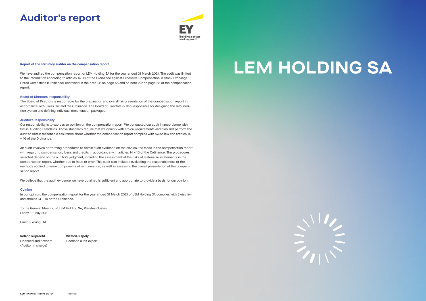#### **Report of the statutory auditor on the compensation report**

We have audited the compensation report of LEM Holding SA for the year ended 31 March 2021. The audit was limited to the information according to articles 14–16 of the Ordinance against Excessive Compensation in Stock Exchange Listed Companies (Ordinance) contained in the note 1.2 on page 55 and on note 2.2 on page 58 of the compensation report.

#### Board of Directors' responsibility

The Board of Directors is responsible for the preparation and overall fair presentation of the compensation report in accordance with Swiss law and the Ordinance. The Board of Directors is also responsible for designing the remuneration system and defining individual remuneration packages.

#### Auditor's responsibility

Our responsibility is to express an opinion on the compensation report. We conducted our audit in accordance with Swiss Auditing Standards. Those standards require that we comply with ethical requirements and plan and perform the audit to obtain reasonable assurance about whether the compensation report complies with Swiss law and articles 14 – 16 of the Ordinance.

An audit involves performing procedures to obtain audit evidence on the disclosures made in the compensation report with regard to compensation, loans and credits in accordance with articles 14 – 16 of the Ordinance. The procedures selected depend on the auditor's judgment, including the assessment of the risks of material misstatements in the compensation report, whether due to fraud or error. This audit also includes evaluating the reasonableness of the methods applied to value components of remuneration, as well as assessing the overall presentation of the compensation report.

We believe that the audit evidence we have obtained is sufficient and appropriate to provide a basis for our opinion.

#### Opinion

In our opinion, the compensation report for the year ended 31 March 2021 of LEM Holding SA complies with Swiss law and articles 14 – 16 of the Ordinance.

To the General Meeting of LEM Holding SA, Plan-les-Ouates Lancy, 12 May 2021

Ernst & Young Ltd

## **Auditor's report**



#### **Roland Ruprecht**

Licensed audit expert (Auditor in charge)

**Victoria Napoly** Licensed audit expert

# **LEM HOLDING SA**



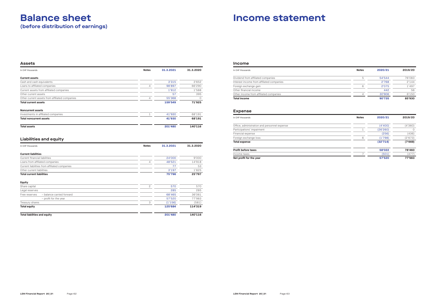## **Balance sheet**

**(before distribution of earnings)**

#### **Assets**

| In CHF thousands                               | <b>Notes</b> | 31.3.2021 | 31.3.2020 |
|------------------------------------------------|--------------|-----------|-----------|
| <b>Current assets</b>                          |              |           |           |
| Cash and cash equivalents                      |              | 3'315     | 3'652     |
| Loans to affiliated companies                  | 4            | 98'897    | 66'290    |
| Current assets from affiliated companies       |              | 1'912     | 1'588     |
| Other current assets                           |              | 57        | 395       |
| Other current assets from affiliated companies | 4            | 55'368    | $\Omega$  |
| <b>Total current assets</b>                    |              | 159'549   | 71'925    |
| <b>Noncurrent assets</b>                       |              |           |           |
| Investments in affiliated companies            |              | 41'930    | 68'191    |
| <b>Total noncurrent assets</b>                 |              | 41'930    | 68'191    |
| <b>Total assets</b>                            |              | 201'480   | 140'116   |

## **Liabilities and equity**

| In CHF thousands                              | <b>Notes</b> | 31.3.2021 | 31.3.2020 |
|-----------------------------------------------|--------------|-----------|-----------|
| <b>Current liabilities</b>                    |              |           |           |
| Current financial liabilities                 |              | 24'000    | 9'000     |
| Loans from affiliated companies               | 4            | 48'521    | 14'918    |
| Current liabilities from affiliated companies |              | 77        | 53        |
| Other current liabilities                     |              | 3'197     | 1'825     |
| <b>Total current liabilities</b>              |              | 75'796    | 25'797    |
| Equity                                        |              |           |           |
| Share capital                                 | $\mathbf{2}$ | 570       | 570       |
| Legal reserves                                |              | 285       | 285       |
| - balance carried forward<br>Free reserves    |              | 68'465    | 36'061    |
| - profit for the year                         |              | 57'520    | 77'983    |
| Treasury shares                               | 3            | (1'156)   | (581)     |
| <b>Total equity</b>                           |              | 125'684   | 114'319   |
| <b>Total liabilities and equity</b>           |              | 201'480   | 140'116   |

## **Income statement**

### **Income**

| In CHF thousands                          | <b>Notes</b> | 2020/21 | 2019/20 |
|-------------------------------------------|--------------|---------|---------|
| Dividend from affiliated companies        | 5            | 54'544  | 76'083  |
| Interest income from affiliated companies |              | 2'768   | 2'144   |
| Foreign exchange gain                     | 6            | 2'075   | 1'497   |
| Other financial income                    |              | 442     | 56      |
| Other income from affiliated companies    | Δ            | 30'906  | 6'150   |
| <b>Total income</b>                       |              | 90'735  | 85'930  |

### **Expense**

| In CHF thousands                             | <b>Notes</b> | 2020/21  | 2019/20 |
|----------------------------------------------|--------------|----------|---------|
| Office, administration and personnel expense |              | (4'400)  | (4'360) |
| Participations' impairment                   |              | (26'260) | 0       |
| Financial expense                            |              | (256)    | (436)   |
| Foreign exchange loss                        | 6            | (1'798)  | (2'673) |
| <b>Total expense</b>                         |              | (32'714) | (7'469) |
| <b>Profit before taxes</b>                   |              | 58'022   | 78'460  |
| Income taxes                                 |              | (501)    | (477)   |
| Net profit for the year                      |              | 57'520   | 77'983  |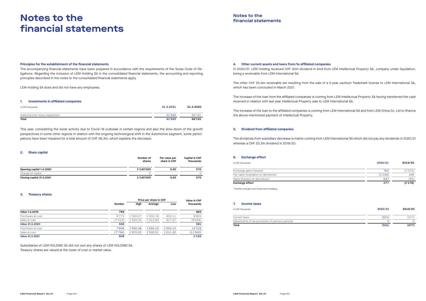## **Notes to the financial statements**

#### **Principles for the establishment of the financial statements**

The accompanying financial statements have been prepared in accordance with the requirements of the Swiss Code of Obligations. Regarding the inclusion of LEM Holding SA in the consolidated financial statements, the accounting and reporting principles described in the notes to the consolidated financial statements apply.

LEM Holding SA does and did not have any employees.

#### **1. Investments in affiliated companies**

| In CHF thousands                 | 31.3.2021 | 31.3.2020 |
|----------------------------------|-----------|-----------|
| Historical cost minus impairment | 41'930    | 68'191    |
| Total                            | 41'930    | 68'191    |

This year, considering the lower activity due to Covid–19 outbreak in certain regions and also the slow-down of the growth perspectives in some other regions in relation with the ongoing technological shift in the Automotive segment, some participations have been impaired for a total amount of CHF 26.3m, which explains the decrease.

#### **2. Share capital**

|                           | Number of<br>shares | Par value per<br>share in CHF | <b>Capital in CHF</b><br>thousands |
|---------------------------|---------------------|-------------------------------|------------------------------------|
| Opening capital 1.4.2020  | 1'140'000           | 0.50                          | 570                                |
| Change of capital         |                     |                               |                                    |
| Closing capital 31.3.2021 | 1'140'000           | 0.50                          | 570                                |

#### **3. Treasury shares**

|                        |               |          | Price per share in CHF |          |           |
|------------------------|---------------|----------|------------------------|----------|-----------|
|                        | <b>Number</b> | High     | Average                | Low      | thousands |
| Value 1.4.2019         | 795           |          |                        |          | 983       |
| Purchases at cost      | 6'773         | 1'500.27 | 1'302.78               | 902.11   | 8'824     |
| Sales at cost          | (7'012)       | 1'520.00 | 1'315.69               | 917.47   | (9'226)   |
| <b>Value 31.3.2020</b> | 556           |          |                        |          | 581       |
| Purchases at cost      | 7'846         | 1'940.38 | 1'595.19               | 1'002.10 | 12'516    |
| Sales at cost          | (7'794)       | 1'970.22 | 1'532.01               | 1'011.32 | (11'940)  |
| <b>Value 31.3.2021</b> | 608           |          |                        |          | 1'156     |

Subsidiaries of LEM HOLDING SA did not own any shares of LEM HOLDING SA. Treasury shares are valued at the lower of cost or market value.

#### **4. Other current assets and loans from/to affiliated companies**

In 2020/21, LEM Holding received CHF 30m dividend in kind from LEM Intellectual Property SA, company under liquidation, being a receivable from LEM International SA.

The other CHF 25.4m receivable are resulting from the sale of a 5-year usufruct Trademark license to LEM International SA, which has been concluded in March 2021.

The increase of the loan from the affiliated companies is coming from LEM Intellectual Property SA having transferred the cash received in relation with last year Intellectual Property sale to LEM International SA.

The increase of the loan to the affiliated companies is coming from LEM International SA and from LEM China Co. Ltd to finance the above-mentioned payment of Intellectual Property.

#### **5. Dividend from affiliated companies**

The dividends from subsidiary decrease is mainly coming from LEM International SA which did not pay any dividends in 2020/21 whereas a CHF 23.3m dividend in 2019/20.

#### **6. Exchange effect**

| In CHF thousands                                   | 2020/21 | 2019/20 |
|----------------------------------------------------|---------|---------|
| Exchange gains/(losses)                            | 764     | (1'572) |
| Fair value revaluation on derivatives <sup>1</sup> | (1'133) | 488     |
| Gains/(losses) on derivatives <sup>1</sup>         | 647     | (93)    |
| <b>Exchange effect</b>                             | 277     | (1'176) |

1 Position includes cost of derivative hedging.

#### **7. Income taxes**

| In CHF thousands                                  | 2020/21 | 2019/20 |
|---------------------------------------------------|---------|---------|
| Current taxes                                     | (501)   | ,477    |
| Adjustments of tax provisions of previous periods |         |         |
| <b>Total</b>                                      | (501)   | (477)   |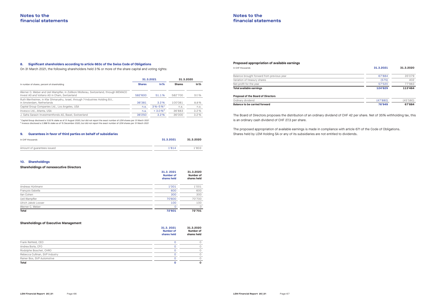#### **8. Significant shareholders according to article 663c of the Swiss Code of Obligations**

On 31 March 2021, the following shareholders held 3 % or more of the share capital and voting rights:

|                                                                                                                                       |               | 31.3.2021                | 31.3.2020     |       |
|---------------------------------------------------------------------------------------------------------------------------------------|---------------|--------------------------|---------------|-------|
| In number of shares, percent of shareholding                                                                                          | <b>Shares</b> | In%                      | <b>Shares</b> | In%   |
| Werner O. Weber and Ueli Wampfler, in Zollikon/Wollerau, Switzerland, through WEMACO<br>Invest AG and Voltano AG in Cham, Switzerland | 582'600       | 51.1%                    | 582'700       | 51.1% |
| Ruth Wertheimer, in Kfar Shmaryahu, Israel, through 7-Industries Holding B.V.,<br>in Amsterdam, Netherlands                           | 36'381        | $3.2\%$                  | 100'081       | 8.8%  |
| Capital Group Companies Ltd., Los Angeles, USA                                                                                        | n.a.          | $3\% - 5\%$ <sup>1</sup> | n.a.          | n.a.  |
| Invesco Ltd., Atlanta, USA                                                                                                            | n.a.          | $<$ 3.0 % <sup>2</sup>   | 36'883        | 3.2%  |
| J. Safra Sarasin Investmentfonds AG, Basel, Switzerland                                                                               | 36'250        | $3.2\%$                  | 36'000        | 3.2%  |
|                                                                                                                                       |               |                          |               |       |

1 Capital Group disclosed a 3.02 % stake as of 31 August 2020, but did not report the exact number of LEM shares per 31 March 2021 2 Invesco disclosed a 2.998 % stake as of 15 December 2020, but did not report the exact number of LEM shares per 31 March 2021

### **9. Guarantees in favor of third parties on behalf of subsidiaries**

| In CHF thousands            | 31.3.2021 | 31.3.2020 |
|-----------------------------|-----------|-----------|
| Amount of guarantees issued | 1'814     | 1'803     |
|                             |           |           |

#### **10. Shareholdings**

#### **Shareholdings of nonexecutive Directors**

|                     | 31.3.2021<br><b>Number of</b><br>shares held | 31.3.2020<br>Number of<br>shares held |
|---------------------|----------------------------------------------|---------------------------------------|
| Andreas Hürlimann   | 1'001                                        | 1'001                                 |
| François Gabella    | 600                                          | 600                                   |
| Ilan Cohen          | 300                                          | 300                                   |
| Ueli Wampfler       | 70'600                                       | 70'700                                |
| Ulrich Jakob Looser | 100                                          | 100                                   |
| Werner C. Weber     |                                              | $\circ$                               |
| <b>Total</b>        | 72'601                                       | 72'701                                |

#### **Shareholdings of Executive Management**

|                                | 31.3.2021<br><b>Number of</b><br>shares held | 31.3.2020<br>Number of<br>shares held |
|--------------------------------|----------------------------------------------|---------------------------------------|
| Frank Rehfeld, CEO             |                                              |                                       |
| Andrea Borla, CFO              |                                              | 0                                     |
| Rodolphe Boschet, CHRO         |                                              | $\circ$                               |
| Rebecca Cullinan, SVP Industry |                                              | 0                                     |
| Rainer Bos, SVP Automotive     |                                              | ∩                                     |
| <b>Total</b>                   |                                              | $\mathbf{o}$                          |

#### **Proposed appropriation of available earnings**

| In CHF thousands                           | 31.3.2021 | 31.3.2020 |
|--------------------------------------------|-----------|-----------|
| Balance brought forward from previous year | 67'884    | 35'079    |
| Variation of treasury shares               | (575)     | 402       |
| Net profit for the year                    | 57'520    | 77'983    |
| <b>Total available earnings</b>            | 124'829   | 113'464   |
| <b>Proposal of the Board of Directors</b>  |           |           |
| Ordinary dividend                          | (47'880)  | (45'580)  |
| <b>Balance to be carried forward</b>       | 76'949    | 67'884    |

The Board of Directors proposes the distribution of an ordinary dividend of CHF 42 per share. Net of 35% withholding tax, this is an ordinary cash dividend of CHF 27.3 per share.

The proposed appropriation of available earnings is made in compliance with article 671 of the Code of Obligations. Shares held by LEM Holding SA or any of its subsidiaries are not entitled to dividends.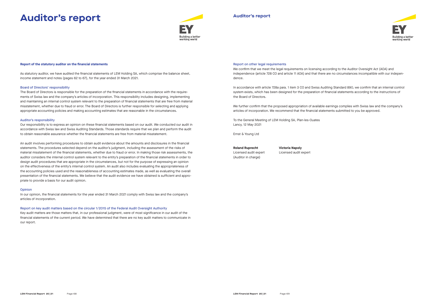#### **Report of the statutory auditor on the financial statements**

As statutory auditor, we have audited the financial statements of LEM Holding SA, which comprise the balance sheet, income statement and notes (pages 62 to 67), for the year ended 31 March 2021.

#### Board of Directors' responsibility

The Board of Directors is responsible for the preparation of the financial statements in accordance with the requirements of Swiss law and the company's articles of incorporation. This responsibility includes designing, implementing and maintaining an internal control system relevant to the preparation of financial statements that are free from material misstatement, whether due to fraud or error. The Board of Directors is further responsible for selecting and applying appropriate accounting policies and making accounting estimates that are reasonable in the circumstances.

#### Auditor's responsibility

Our responsibility is to express an opinion on these financial statements based on our audit. We conducted our audit in accordance with Swiss law and Swiss Auditing Standards. Those standards require that we plan and perform the audit to obtain reasonable assurance whether the financial statements are free from material misstatement.

An audit involves performing procedures to obtain audit evidence about the amounts and disclosures in the financial statements. The procedures selected depend on the auditor's judgment, including the assessment of the risks of material misstatement of the financial statements, whether due to fraud or error. In making those risk assessments, the auditor considers the internal control system relevant to the entity's preparation of the financial statements in order to design audit procedures that are appropriate in the circumstances, but not for the purpose of expressing an opinion on the effectiveness of the entity's internal control system. An audit also includes evaluating the appropriateness of the accounting policies used and the reasonableness of accounting estimates made, as well as evaluating the overall presentation of the financial statements. We believe that the audit evidence we have obtained is sufficient and appropriate to provide a basis for our audit opinion.

#### Opinion

In our opinion, the financial statements for the year ended 31 March 2021 comply with Swiss law and the company's articles of incorporation.

#### Report on key audit matters based on the circular 1/2015 of the Federal Audit Oversight Authority

Key audit matters are those matters that, in our professional judgment, were of most significance in our audit of the financial statements of the current period. We have determined that there are no key audit matters to communicate in our report.

## **Auditor's report**



**Roland Ruprecht** Licensed audit expert (Auditor in charge)

**Victoria Napoly** Licensed audit expert



## **Auditor's report**

#### Report on other legal requirements

We confirm that we meet the legal requirements on licensing according to the Auditor Oversight Act (AOA) and independence (article 728 CO and article 11 AOA) and that there are no circumstances incompatible with our independence.

In accordance with article 728a para. 1 item 3 CO and Swiss Auditing Standard 890, we confirm that an internal control system exists, which has been designed for the preparation of financial statements according to the instructions of the Board of Directors.

We further confirm that the proposed appropriation of available earnings complies with Swiss law and the company's articles of incorporation. We recommend that the financial statements submitted to you be approved.

To the General Meeting of LEM Holding SA, Plan-les-Ouates Lancy, 12 May 2021

Ernst & Young Ltd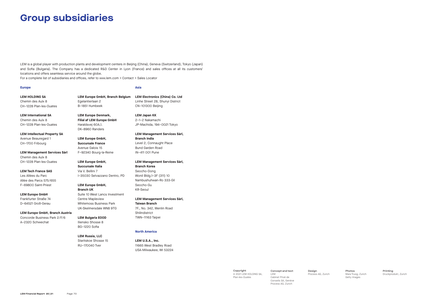#### **Europe**

### **LEM HOLDING SA** Chemin des Aulx 8 CH–1228 Plan-les-Ouates

**LEM International SA** Chemin des Aulx 8 CH–1228 Plan-les-Ouates

### **LEM Intellectual Property SA** Avenue Beauregard 1 CH–1700 Fribourg

**LEM Management Services Sàrl** Chemin des Aulx 8 CH–1228 Plan-les-Ouates

### **LEM Tech France SAS** Les Allées du Parc Allée des Parcs 575/655 F–69800 Saint-Priest

**LEM Europe GmbH** Frankfurter Straße 74 D–64521 Groß-Gerau

**LEM Europe GmbH, Branch Austria** Concorde Business Park 2/F/6 A–2320 Schwechat

**LEM Europe GmbH, Branch Belgium**  Egelantierlaan 2 B–1851 Humbeek

### **LEM Europe Denmark, Filial af LEM Europe GmbH**  Haraldsvej 60A,1. DK–8960 Randers

**LEM Europe GmbH, Succursale France** Avenue Galois 15 F–92340 Bourg-la-Reine

### **LEM Europe GmbH, Succursale Italia** Via V. Bellini 7 I–35030 Selvazzano Dentro, PD

**LEM Europe GmbH, Branch UK** Suite 10 West Lancs Investment Centre Mapleview Whitemoss Business Park UK-Skelmersdale WN8 9TG

### **LEM Bulgaria EOOD** Iliensko Shosse 8 BG–1220 Sofia

**LEM Russia, LLC** Staritskoe Shosse 15 RU–170040 Tver

**Asia**

**LEM Electronics (China) Co. Ltd** Linhe Street 28, Shunyi District CN–101300 Beijing

**LEM Japan KK** 2–1–2 Nakamachi JP-Machida, 194–0021 Tokyo

### **LEM Management Services Sàrl, Branch India** Level 2, Connaught Place Bund Garden Road IN–411 001 Pune

### **LEM Management Services Sàrl, Branch Korea** Seocho-Dong Wonil Bldg.1–3F (311) 10 Nambushuhwan-Ro 333-Gil Seocho-Gu KR-Seoul

**LEM Management Services Sàrl, Taiwan Branch** 7F., No. 342, Wenlin Road Shilindistrict TWN–11163 Taipei

#### **North America**

**LEM U.S.A., Inc.** 11665 West Bradley Road USA-Milwaukee, WI 53224

## **Group subsidiaries**

LEM is a global player with production plants and development centers in Beijing (China), Geneva (Switzerland), Tokyo (Japan) and Sofia (Bulgaria). The Company has a dedicated R&D Center in Lyon (France) and sales offices at all its customers' locations and offers seamless service around the globe.

For a complete list of subsidiaries and offices, refer to www.lem.com > Contact > Sales Locator

**Copyright**  © 2021 LEM HOLDING SA, Plan-les-Ouates

**Concept and text** LEM Cabinet Privé de Conseils SA, Genève Process AG, Zurich

**Design**  Process AG, Zurich

**Photos**  Mara Truog, Zurich Getty Images

**Printing** Druckprodukt, Zurich